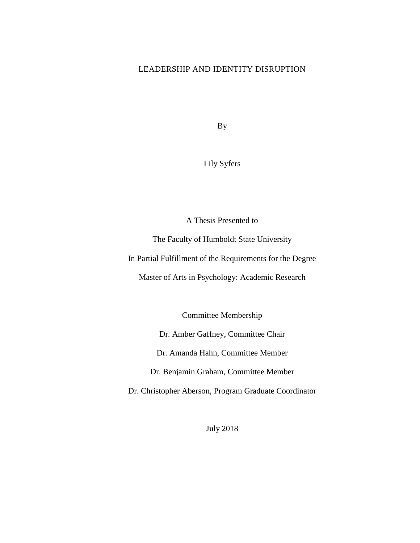# LEADERSHIP AND IDENTITY DISRUPTION

By

Lily Syfers

A Thesis Presented to

The Faculty of Humboldt State University

In Partial Fulfillment of the Requirements for the Degree

Master of Arts in Psychology: Academic Research

Committee Membership

Dr. Amber Gaffney, Committee Chair

Dr. Amanda Hahn, Committee Member

Dr. Benjamin Graham, Committee Member

Dr. Christopher Aberson, Program Graduate Coordinator

July 2018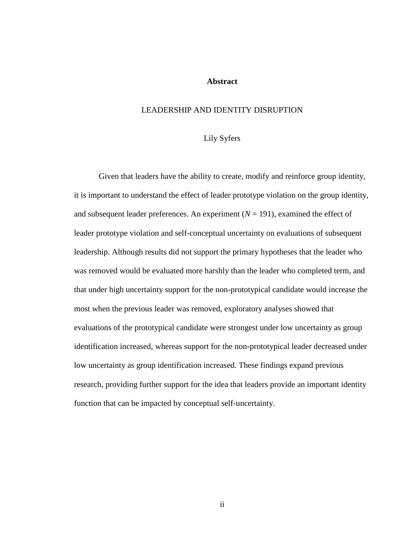## **Abstract**

# <span id="page-1-0"></span>LEADERSHIP AND IDENTITY DISRUPTION

## Lily Syfers

Given that leaders have the ability to create, modify and reinforce group identity, it is important to understand the effect of leader prototype violation on the group identity, and subsequent leader preferences. An experiment  $(N = 191)$ , examined the effect of leader prototype violation and self-conceptual uncertainty on evaluations of subsequent leadership. Although results did not support the primary hypotheses that the leader who was removed would be evaluated more harshly than the leader who completed term, and that under high uncertainty support for the non-prototypical candidate would increase the most when the previous leader was removed, exploratory analyses showed that evaluations of the prototypical candidate were strongest under low uncertainty as group identification increased, whereas support for the non-prototypical leader decreased under low uncertainty as group identification increased. These findings expand previous research, providing further support for the idea that leaders provide an important identity function that can be impacted by conceptual self-uncertainty.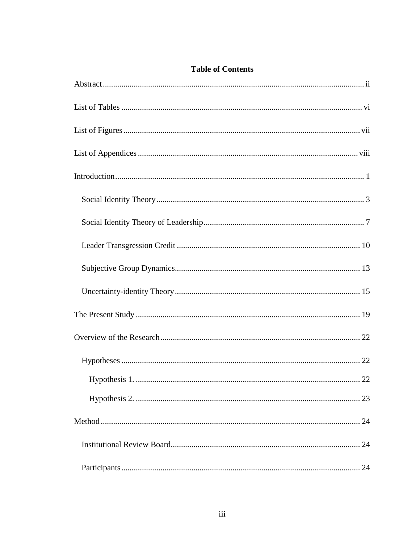|  |  | <b>Table of Contents</b> |
|--|--|--------------------------|
|--|--|--------------------------|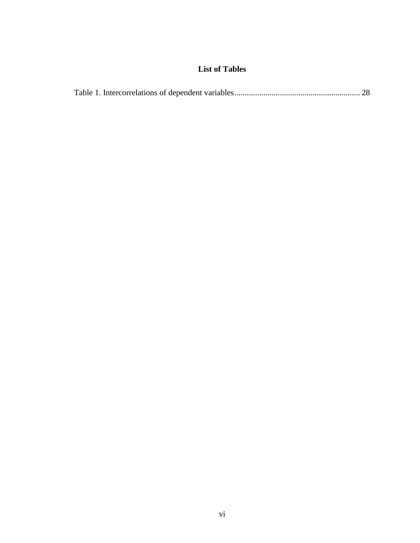# **List of Tables**

<span id="page-5-0"></span>

|--|--|--|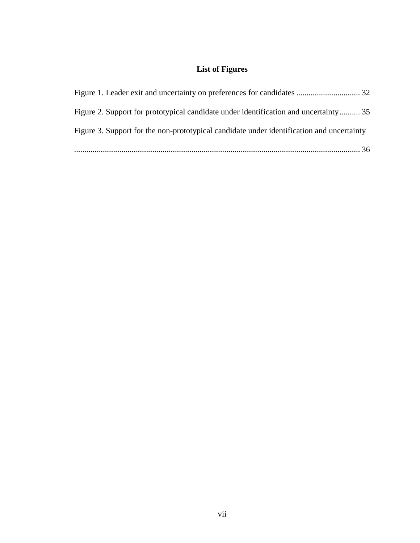# **List of Figures**

<span id="page-6-0"></span>

| Figure 2. Support for prototypical candidate under identification and uncertainty 35      |    |
|-------------------------------------------------------------------------------------------|----|
| Figure 3. Support for the non-prototypical candidate under identification and uncertainty |    |
|                                                                                           | 36 |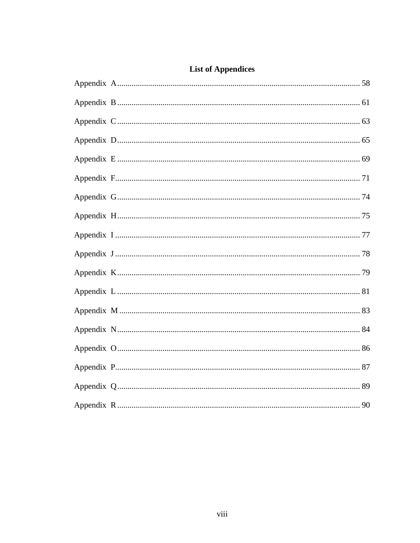| <b>List of Appendices</b> |  |  |  |  |
|---------------------------|--|--|--|--|
|---------------------------|--|--|--|--|

<span id="page-7-0"></span>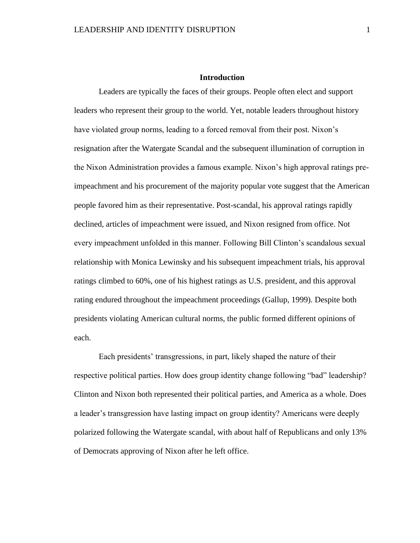# **Introduction**

<span id="page-8-0"></span>Leaders are typically the faces of their groups. People often elect and support leaders who represent their group to the world. Yet, notable leaders throughout history have violated group norms, leading to a forced removal from their post. Nixon's resignation after the Watergate Scandal and the subsequent illumination of corruption in the Nixon Administration provides a famous example. Nixon's high approval ratings preimpeachment and his procurement of the majority popular vote suggest that the American people favored him as their representative. Post-scandal, his approval ratings rapidly declined, articles of impeachment were issued, and Nixon resigned from office. Not every impeachment unfolded in this manner. Following Bill Clinton's scandalous sexual relationship with Monica Lewinsky and his subsequent impeachment trials, his approval ratings climbed to 60%, one of his highest ratings as U.S. president, and this approval rating endured throughout the impeachment proceedings (Gallup, 1999). Despite both presidents violating American cultural norms, the public formed different opinions of each.

Each presidents' transgressions, in part, likely shaped the nature of their respective political parties. How does group identity change following "bad" leadership? Clinton and Nixon both represented their political parties, and America as a whole. Does a leader's transgression have lasting impact on group identity? Americans were deeply polarized following the Watergate scandal, with about half of Republicans and only 13% of Democrats approving of Nixon after he left office.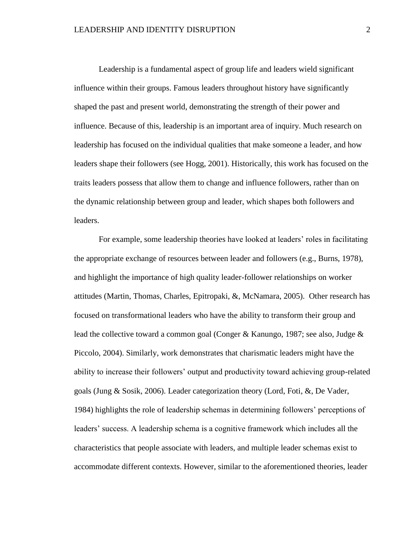Leadership is a fundamental aspect of group life and leaders wield significant influence within their groups. Famous leaders throughout history have significantly shaped the past and present world, demonstrating the strength of their power and influence. Because of this, leadership is an important area of inquiry. Much research on leadership has focused on the individual qualities that make someone a leader, and how leaders shape their followers (see Hogg, 2001). Historically, this work has focused on the traits leaders possess that allow them to change and influence followers, rather than on the dynamic relationship between group and leader, which shapes both followers and leaders.

For example, some leadership theories have looked at leaders' roles in facilitating the appropriate exchange of resources between leader and followers (e.g., Burns, 1978), and highlight the importance of high quality leader-follower relationships on worker attitudes (Martin, Thomas, Charles, Epitropaki, &, McNamara, 2005). Other research has focused on transformational leaders who have the ability to transform their group and lead the collective toward a common goal (Conger & Kanungo, 1987; see also, Judge  $\&$ Piccolo, 2004). Similarly, work demonstrates that charismatic leaders might have the ability to increase their followers' output and productivity toward achieving group-related goals (Jung & Sosik, 2006). Leader categorization theory (Lord, Foti, &, De Vader, 1984) highlights the role of leadership schemas in determining followers' perceptions of leaders' success. A leadership schema is a cognitive framework which includes all the characteristics that people associate with leaders, and multiple leader schemas exist to accommodate different contexts. However, similar to the aforementioned theories, leader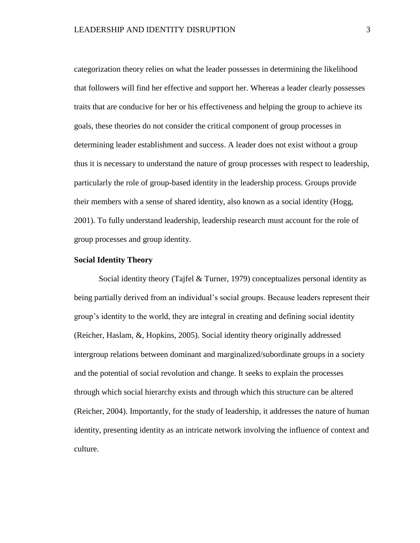categorization theory relies on what the leader possesses in determining the likelihood that followers will find her effective and support her. Whereas a leader clearly possesses traits that are conducive for her or his effectiveness and helping the group to achieve its goals, these theories do not consider the critical component of group processes in determining leader establishment and success. A leader does not exist without a group thus it is necessary to understand the nature of group processes with respect to leadership, particularly the role of group-based identity in the leadership process. Groups provide their members with a sense of shared identity, also known as a social identity (Hogg, 2001). To fully understand leadership, leadership research must account for the role of group processes and group identity.

## <span id="page-10-0"></span>**Social Identity Theory**

Social identity theory (Tajfel & Turner, 1979) conceptualizes personal identity as being partially derived from an individual's social groups. Because leaders represent their group's identity to the world, they are integral in creating and defining social identity (Reicher, Haslam, &, Hopkins, 2005). Social identity theory originally addressed intergroup relations between dominant and marginalized/subordinate groups in a society and the potential of social revolution and change. It seeks to explain the processes through which social hierarchy exists and through which this structure can be altered (Reicher, 2004). Importantly, for the study of leadership, it addresses the nature of human identity, presenting identity as an intricate network involving the influence of context and culture.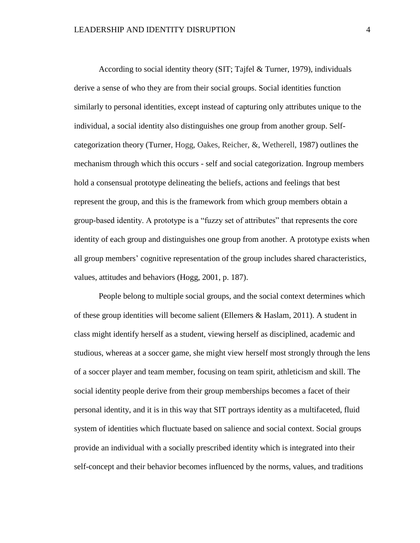According to social identity theory (SIT; Tajfel & Turner, 1979), individuals derive a sense of who they are from their social groups. Social identities function similarly to personal identities, except instead of capturing only attributes unique to the individual, a social identity also distinguishes one group from another group. Selfcategorization theory (Turner, Hogg, Oakes, Reicher, &, Wetherell, 1987) outlines the mechanism through which this occurs - self and social categorization. Ingroup members hold a consensual prototype delineating the beliefs, actions and feelings that best represent the group, and this is the framework from which group members obtain a group-based identity. A prototype is a "fuzzy set of attributes" that represents the core identity of each group and distinguishes one group from another. A prototype exists when all group members' cognitive representation of the group includes shared characteristics, values, attitudes and behaviors (Hogg, 2001, p. 187).

People belong to multiple social groups, and the social context determines which of these group identities will become salient (Ellemers & Haslam, 2011). A student in class might identify herself as a student, viewing herself as disciplined, academic and studious, whereas at a soccer game, she might view herself most strongly through the lens of a soccer player and team member, focusing on team spirit, athleticism and skill. The social identity people derive from their group memberships becomes a facet of their personal identity, and it is in this way that SIT portrays identity as a multifaceted, fluid system of identities which fluctuate based on salience and social context. Social groups provide an individual with a socially prescribed identity which is integrated into their self-concept and their behavior becomes influenced by the norms, values, and traditions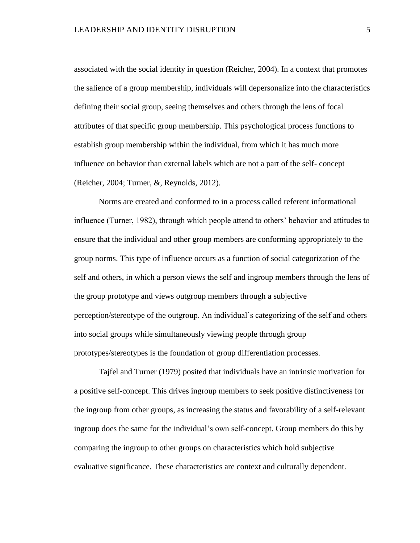associated with the social identity in question (Reicher, 2004). In a context that promotes the salience of a group membership, individuals will depersonalize into the characteristics defining their social group, seeing themselves and others through the lens of focal attributes of that specific group membership. This psychological process functions to establish group membership within the individual, from which it has much more influence on behavior than external labels which are not a part of the self- concept (Reicher, 2004; Turner, &, Reynolds, 2012).

Norms are created and conformed to in a process called referent informational influence (Turner, 1982), through which people attend to others' behavior and attitudes to ensure that the individual and other group members are conforming appropriately to the group norms. This type of influence occurs as a function of social categorization of the self and others, in which a person views the self and ingroup members through the lens of the group prototype and views outgroup members through a subjective perception/stereotype of the outgroup. An individual's categorizing of the self and others into social groups while simultaneously viewing people through group prototypes/stereotypes is the foundation of group differentiation processes.

Tajfel and Turner (1979) posited that individuals have an intrinsic motivation for a positive self-concept. This drives ingroup members to seek positive distinctiveness for the ingroup from other groups, as increasing the status and favorability of a self-relevant ingroup does the same for the individual's own self-concept. Group members do this by comparing the ingroup to other groups on characteristics which hold subjective evaluative significance. These characteristics are context and culturally dependent.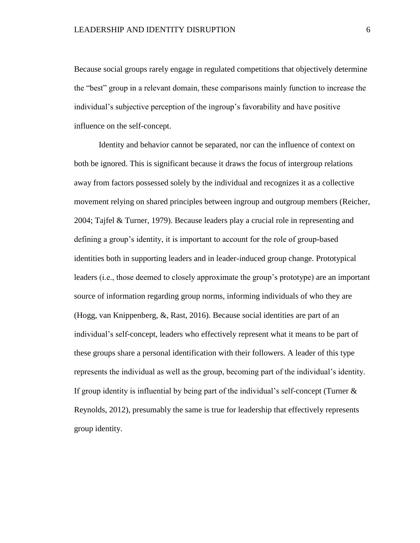Because social groups rarely engage in regulated competitions that objectively determine the "best" group in a relevant domain, these comparisons mainly function to increase the individual's subjective perception of the ingroup's favorability and have positive influence on the self-concept.

Identity and behavior cannot be separated, nor can the influence of context on both be ignored. This is significant because it draws the focus of intergroup relations away from factors possessed solely by the individual and recognizes it as a collective movement relying on shared principles between ingroup and outgroup members (Reicher, 2004; Tajfel & Turner, 1979). Because leaders play a crucial role in representing and defining a group's identity, it is important to account for the role of group-based identities both in supporting leaders and in leader-induced group change. Prototypical leaders (i.e., those deemed to closely approximate the group's prototype) are an important source of information regarding group norms, informing individuals of who they are (Hogg, van Knippenberg, &, Rast, 2016). Because social identities are part of an individual's self-concept, leaders who effectively represent what it means to be part of these groups share a personal identification with their followers. A leader of this type represents the individual as well as the group, becoming part of the individual's identity. If group identity is influential by being part of the individual's self-concept (Turner  $\&$ Reynolds, 2012), presumably the same is true for leadership that effectively represents group identity.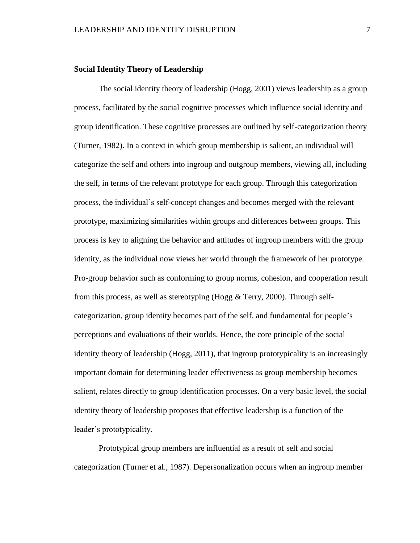## <span id="page-14-0"></span>**Social Identity Theory of Leadership**

The social identity theory of leadership (Hogg, 2001) views leadership as a group process, facilitated by the social cognitive processes which influence social identity and group identification. These cognitive processes are outlined by self-categorization theory (Turner, 1982). In a context in which group membership is salient, an individual will categorize the self and others into ingroup and outgroup members, viewing all, including the self, in terms of the relevant prototype for each group. Through this categorization process, the individual's self-concept changes and becomes merged with the relevant prototype, maximizing similarities within groups and differences between groups. This process is key to aligning the behavior and attitudes of ingroup members with the group identity, as the individual now views her world through the framework of her prototype. Pro-group behavior such as conforming to group norms, cohesion, and cooperation result from this process, as well as stereotyping (Hogg  $&$  Terry, 2000). Through selfcategorization, group identity becomes part of the self, and fundamental for people's perceptions and evaluations of their worlds. Hence, the core principle of the social identity theory of leadership (Hogg, 2011), that ingroup prototypicality is an increasingly important domain for determining leader effectiveness as group membership becomes salient, relates directly to group identification processes. On a very basic level, the social identity theory of leadership proposes that effective leadership is a function of the leader's prototypicality.

Prototypical group members are influential as a result of self and social categorization (Turner et al., 1987). Depersonalization occurs when an ingroup member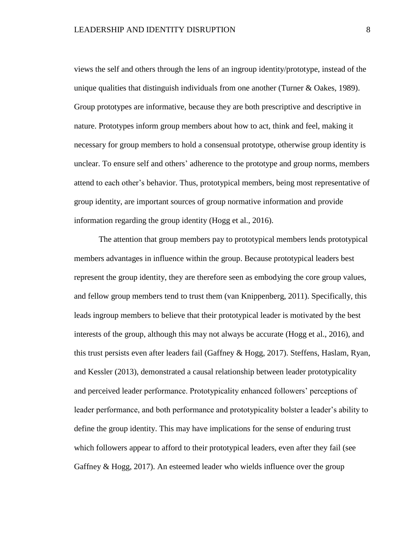views the self and others through the lens of an ingroup identity/prototype, instead of the unique qualities that distinguish individuals from one another (Turner  $\&$  Oakes, 1989). Group prototypes are informative, because they are both prescriptive and descriptive in nature. Prototypes inform group members about how to act, think and feel, making it necessary for group members to hold a consensual prototype, otherwise group identity is unclear. To ensure self and others' adherence to the prototype and group norms, members attend to each other's behavior. Thus, prototypical members, being most representative of group identity, are important sources of group normative information and provide information regarding the group identity (Hogg et al., 2016).

The attention that group members pay to prototypical members lends prototypical members advantages in influence within the group. Because prototypical leaders best represent the group identity, they are therefore seen as embodying the core group values, and fellow group members tend to trust them (van Knippenberg, 2011). Specifically, this leads ingroup members to believe that their prototypical leader is motivated by the best interests of the group, although this may not always be accurate (Hogg et al., 2016), and this trust persists even after leaders fail (Gaffney & Hogg, 2017). Steffens, Haslam, Ryan, and Kessler (2013), demonstrated a causal relationship between leader prototypicality and perceived leader performance. Prototypicality enhanced followers' perceptions of leader performance, and both performance and prototypicality bolster a leader's ability to define the group identity. This may have implications for the sense of enduring trust which followers appear to afford to their prototypical leaders, even after they fail (see Gaffney & Hogg, 2017). An esteemed leader who wields influence over the group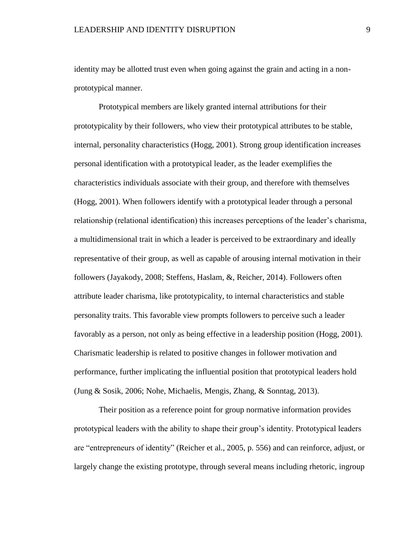identity may be allotted trust even when going against the grain and acting in a nonprototypical manner.

Prototypical members are likely granted internal attributions for their prototypicality by their followers, who view their prototypical attributes to be stable, internal, personality characteristics (Hogg, 2001). Strong group identification increases personal identification with a prototypical leader, as the leader exemplifies the characteristics individuals associate with their group, and therefore with themselves (Hogg, 2001). When followers identify with a prototypical leader through a personal relationship (relational identification) this increases perceptions of the leader's charisma, a multidimensional trait in which a leader is perceived to be extraordinary and ideally representative of their group, as well as capable of arousing internal motivation in their followers (Jayakody, 2008; Steffens, Haslam, &, Reicher, 2014). Followers often attribute leader charisma, like prototypicality, to internal characteristics and stable personality traits. This favorable view prompts followers to perceive such a leader favorably as a person, not only as being effective in a leadership position (Hogg, 2001). Charismatic leadership is related to positive changes in follower motivation and performance, further implicating the influential position that prototypical leaders hold (Jung & Sosik, 2006; Nohe, Michaelis, Mengis, Zhang, & Sonntag, 2013).

Their position as a reference point for group normative information provides prototypical leaders with the ability to shape their group's identity. Prototypical leaders are "entrepreneurs of identity" (Reicher et al., 2005, p. 556) and can reinforce, adjust, or largely change the existing prototype, through several means including rhetoric, ingroup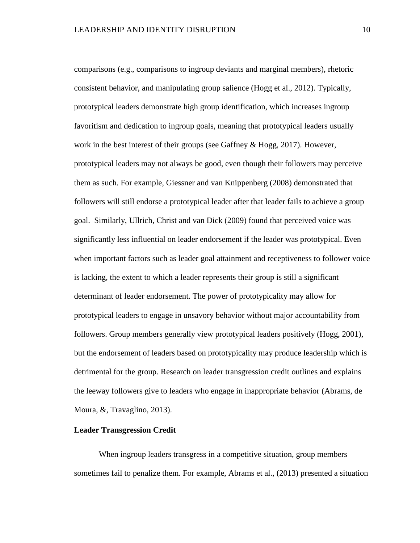comparisons (e.g., comparisons to ingroup deviants and marginal members), rhetoric consistent behavior, and manipulating group salience (Hogg et al., 2012). Typically, prototypical leaders demonstrate high group identification, which increases ingroup favoritism and dedication to ingroup goals, meaning that prototypical leaders usually work in the best interest of their groups (see Gaffney & Hogg, 2017). However, prototypical leaders may not always be good, even though their followers may perceive them as such. For example, Giessner and van Knippenberg (2008) demonstrated that followers will still endorse a prototypical leader after that leader fails to achieve a group goal. Similarly, Ullrich, Christ and van Dick (2009) found that perceived voice was significantly less influential on leader endorsement if the leader was prototypical. Even when important factors such as leader goal attainment and receptiveness to follower voice is lacking, the extent to which a leader represents their group is still a significant determinant of leader endorsement. The power of prototypicality may allow for prototypical leaders to engage in unsavory behavior without major accountability from followers. Group members generally view prototypical leaders positively (Hogg, 2001), but the endorsement of leaders based on prototypicality may produce leadership which is detrimental for the group. Research on leader transgression credit outlines and explains the leeway followers give to leaders who engage in inappropriate behavior (Abrams, de Moura, &, Travaglino, 2013).

# <span id="page-17-0"></span>**Leader Transgression Credit**

When ingroup leaders transgress in a competitive situation, group members sometimes fail to penalize them. For example, Abrams et al., (2013) presented a situation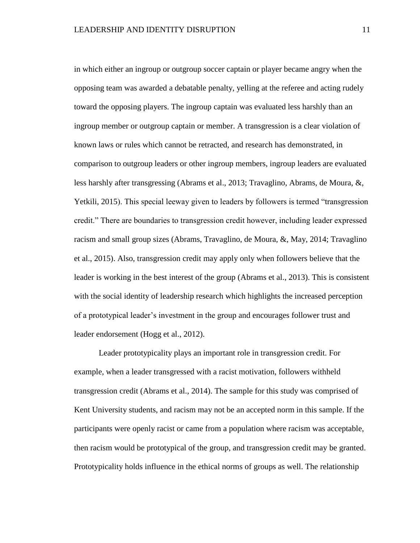in which either an ingroup or outgroup soccer captain or player became angry when the opposing team was awarded a debatable penalty, yelling at the referee and acting rudely toward the opposing players. The ingroup captain was evaluated less harshly than an ingroup member or outgroup captain or member. A transgression is a clear violation of known laws or rules which cannot be retracted, and research has demonstrated, in comparison to outgroup leaders or other ingroup members, ingroup leaders are evaluated less harshly after transgressing (Abrams et al., 2013; Travaglino, Abrams, de Moura, &, Yetkili, 2015). This special leeway given to leaders by followers is termed "transgression credit." There are boundaries to transgression credit however, including leader expressed racism and small group sizes (Abrams, Travaglino, de Moura, &, May, 2014; Travaglino et al., 2015). Also, transgression credit may apply only when followers believe that the leader is working in the best interest of the group (Abrams et al., 2013). This is consistent with the social identity of leadership research which highlights the increased perception of a prototypical leader's investment in the group and encourages follower trust and leader endorsement (Hogg et al., 2012).

Leader prototypicality plays an important role in transgression credit. For example, when a leader transgressed with a racist motivation, followers withheld transgression credit (Abrams et al., 2014). The sample for this study was comprised of Kent University students, and racism may not be an accepted norm in this sample. If the participants were openly racist or came from a population where racism was acceptable, then racism would be prototypical of the group, and transgression credit may be granted. Prototypicality holds influence in the ethical norms of groups as well. The relationship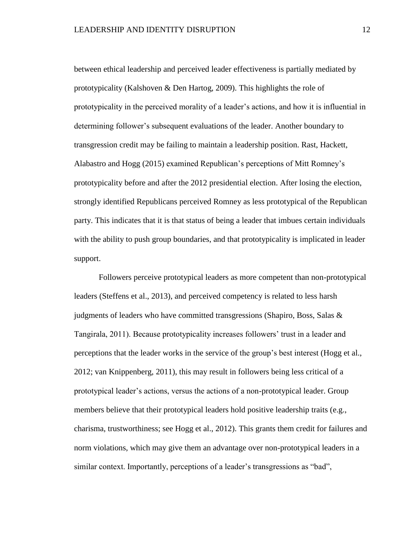between ethical leadership and perceived leader effectiveness is partially mediated by prototypicality (Kalshoven & Den Hartog, 2009). This highlights the role of prototypicality in the perceived morality of a leader's actions, and how it is influential in determining follower's subsequent evaluations of the leader. Another boundary to transgression credit may be failing to maintain a leadership position. Rast, Hackett, Alabastro and Hogg (2015) examined Republican's perceptions of Mitt Romney's prototypicality before and after the 2012 presidential election. After losing the election, strongly identified Republicans perceived Romney as less prototypical of the Republican party. This indicates that it is that status of being a leader that imbues certain individuals with the ability to push group boundaries, and that prototypicality is implicated in leader support.

Followers perceive prototypical leaders as more competent than non-prototypical leaders (Steffens et al., 2013), and perceived competency is related to less harsh judgments of leaders who have committed transgressions (Shapiro, Boss, Salas & Tangirala, 2011). Because prototypicality increases followers' trust in a leader and perceptions that the leader works in the service of the group's best interest (Hogg et al., 2012; van Knippenberg, 2011), this may result in followers being less critical of a prototypical leader's actions, versus the actions of a non-prototypical leader. Group members believe that their prototypical leaders hold positive leadership traits (e.g., charisma, trustworthiness; see Hogg et al., 2012). This grants them credit for failures and norm violations, which may give them an advantage over non-prototypical leaders in a similar context. Importantly, perceptions of a leader's transgressions as "bad",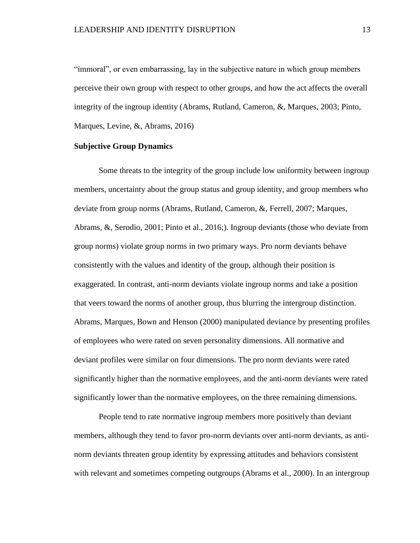"immoral", or even embarrassing, lay in the subjective nature in which group members perceive their own group with respect to other groups, and how the act affects the overall integrity of the ingroup identity (Abrams, Rutland, Cameron, &, Marques, 2003; Pinto, Marques, Levine, &, Abrams, 2016)

## <span id="page-20-0"></span>**Subjective Group Dynamics**

Some threats to the integrity of the group include low uniformity between ingroup members, uncertainty about the group status and group identity, and group members who deviate from group norms (Abrams, Rutland, Cameron, &, Ferrell, 2007; Marques, Abrams, &, Serodio, 2001; Pinto et al., 2016;). Ingroup deviants (those who deviate from group norms) violate group norms in two primary ways. Pro norm deviants behave consistently with the values and identity of the group, although their position is exaggerated. In contrast, anti-norm deviants violate ingroup norms and take a position that veers toward the norms of another group, thus blurring the intergroup distinction. Abrams, Marques, Bown and Henson (2000) manipulated deviance by presenting profiles of employees who were rated on seven personality dimensions. All normative and deviant profiles were similar on four dimensions. The pro norm deviants were rated significantly higher than the normative employees, and the anti-norm deviants were rated significantly lower than the normative employees, on the three remaining dimensions.

People tend to rate normative ingroup members more positively than deviant members, although they tend to favor pro-norm deviants over anti-norm deviants, as antinorm deviants threaten group identity by expressing attitudes and behaviors consistent with relevant and sometimes competing outgroups (Abrams et al., 2000). In an intergroup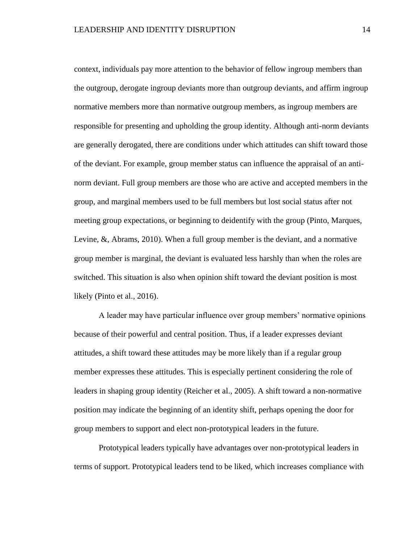context, individuals pay more attention to the behavior of fellow ingroup members than the outgroup, derogate ingroup deviants more than outgroup deviants, and affirm ingroup normative members more than normative outgroup members, as ingroup members are responsible for presenting and upholding the group identity. Although anti-norm deviants are generally derogated, there are conditions under which attitudes can shift toward those of the deviant. For example, group member status can influence the appraisal of an antinorm deviant. Full group members are those who are active and accepted members in the group, and marginal members used to be full members but lost social status after not meeting group expectations, or beginning to deidentify with the group (Pinto, Marques, Levine, &, Abrams, 2010). When a full group member is the deviant, and a normative group member is marginal, the deviant is evaluated less harshly than when the roles are switched. This situation is also when opinion shift toward the deviant position is most likely (Pinto et al., 2016).

A leader may have particular influence over group members' normative opinions because of their powerful and central position. Thus, if a leader expresses deviant attitudes, a shift toward these attitudes may be more likely than if a regular group member expresses these attitudes. This is especially pertinent considering the role of leaders in shaping group identity (Reicher et al., 2005). A shift toward a non-normative position may indicate the beginning of an identity shift, perhaps opening the door for group members to support and elect non-prototypical leaders in the future.

Prototypical leaders typically have advantages over non-prototypical leaders in terms of support. Prototypical leaders tend to be liked, which increases compliance with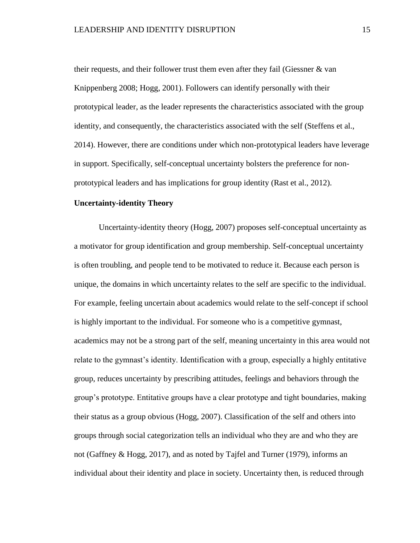their requests, and their follower trust them even after they fail (Giessner & van Knippenberg 2008; Hogg, 2001). Followers can identify personally with their prototypical leader, as the leader represents the characteristics associated with the group identity, and consequently, the characteristics associated with the self (Steffens et al., 2014). However, there are conditions under which non-prototypical leaders have leverage in support. Specifically, self-conceptual uncertainty bolsters the preference for nonprototypical leaders and has implications for group identity (Rast et al., 2012).

## <span id="page-22-0"></span>**Uncertainty-identity Theory**

Uncertainty-identity theory (Hogg, 2007) proposes self-conceptual uncertainty as a motivator for group identification and group membership. Self-conceptual uncertainty is often troubling, and people tend to be motivated to reduce it. Because each person is unique, the domains in which uncertainty relates to the self are specific to the individual. For example, feeling uncertain about academics would relate to the self-concept if school is highly important to the individual. For someone who is a competitive gymnast, academics may not be a strong part of the self, meaning uncertainty in this area would not relate to the gymnast's identity. Identification with a group, especially a highly entitative group, reduces uncertainty by prescribing attitudes, feelings and behaviors through the group's prototype. Entitative groups have a clear prototype and tight boundaries, making their status as a group obvious (Hogg, 2007). Classification of the self and others into groups through social categorization tells an individual who they are and who they are not (Gaffney & Hogg, 2017), and as noted by Tajfel and Turner (1979), informs an individual about their identity and place in society. Uncertainty then, is reduced through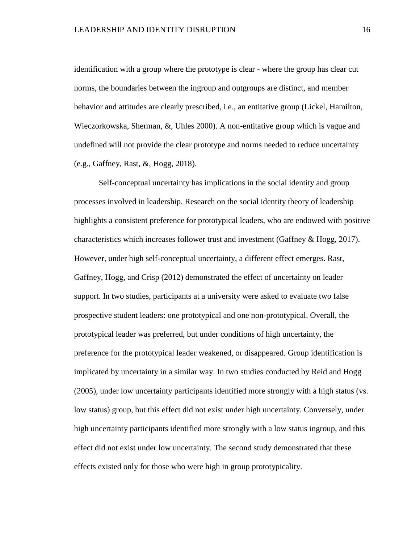identification with a group where the prototype is clear - where the group has clear cut norms, the boundaries between the ingroup and outgroups are distinct, and member behavior and attitudes are clearly prescribed, i.e., an entitative group (Lickel, Hamilton, Wieczorkowska, Sherman, &, Uhles 2000). A non-entitative group which is vague and undefined will not provide the clear prototype and norms needed to reduce uncertainty (e.g., Gaffney, Rast, &, Hogg, 2018).

Self-conceptual uncertainty has implications in the social identity and group processes involved in leadership. Research on the social identity theory of leadership highlights a consistent preference for prototypical leaders, who are endowed with positive characteristics which increases follower trust and investment (Gaffney & Hogg, 2017). However, under high self-conceptual uncertainty, a different effect emerges. Rast, Gaffney, Hogg, and Crisp (2012) demonstrated the effect of uncertainty on leader support. In two studies, participants at a university were asked to evaluate two false prospective student leaders: one prototypical and one non-prototypical. Overall, the prototypical leader was preferred, but under conditions of high uncertainty, the preference for the prototypical leader weakened, or disappeared. Group identification is implicated by uncertainty in a similar way. In two studies conducted by Reid and Hogg (2005), under low uncertainty participants identified more strongly with a high status (vs. low status) group, but this effect did not exist under high uncertainty. Conversely, under high uncertainty participants identified more strongly with a low status ingroup, and this effect did not exist under low uncertainty. The second study demonstrated that these effects existed only for those who were high in group prototypicality.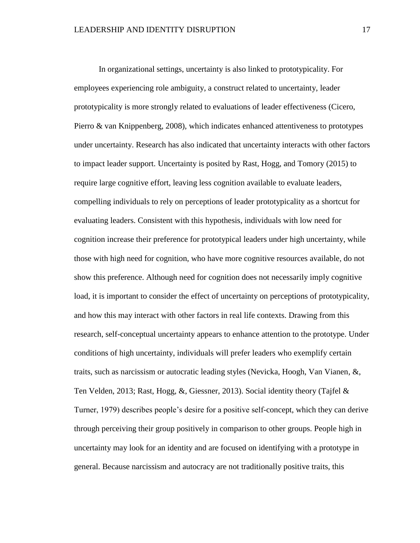In organizational settings, uncertainty is also linked to prototypicality. For employees experiencing role ambiguity, a construct related to uncertainty, leader prototypicality is more strongly related to evaluations of leader effectiveness (Cicero, Pierro & van Knippenberg, 2008), which indicates enhanced attentiveness to prototypes under uncertainty. Research has also indicated that uncertainty interacts with other factors to impact leader support. Uncertainty is posited by Rast, Hogg, and Tomory (2015) to require large cognitive effort, leaving less cognition available to evaluate leaders, compelling individuals to rely on perceptions of leader prototypicality as a shortcut for evaluating leaders. Consistent with this hypothesis, individuals with low need for cognition increase their preference for prototypical leaders under high uncertainty, while those with high need for cognition, who have more cognitive resources available, do not show this preference. Although need for cognition does not necessarily imply cognitive load, it is important to consider the effect of uncertainty on perceptions of prototypicality, and how this may interact with other factors in real life contexts. Drawing from this research, self-conceptual uncertainty appears to enhance attention to the prototype. Under conditions of high uncertainty, individuals will prefer leaders who exemplify certain traits, such as narcissism or autocratic leading styles (Nevicka, Hoogh, Van Vianen, &, Ten Velden, 2013; Rast, Hogg, &, Giessner, 2013). Social identity theory (Tajfel & Turner, 1979) describes people's desire for a positive self-concept, which they can derive through perceiving their group positively in comparison to other groups. People high in uncertainty may look for an identity and are focused on identifying with a prototype in general. Because narcissism and autocracy are not traditionally positive traits, this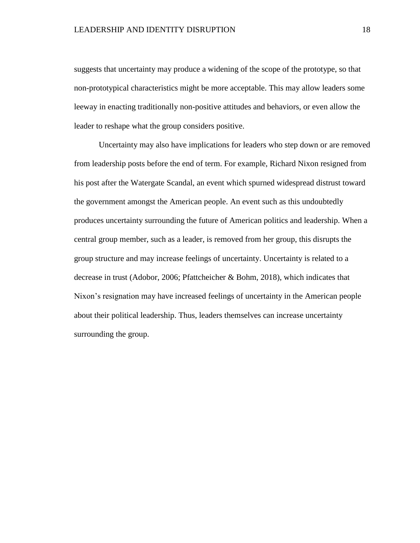suggests that uncertainty may produce a widening of the scope of the prototype, so that non-prototypical characteristics might be more acceptable. This may allow leaders some leeway in enacting traditionally non-positive attitudes and behaviors, or even allow the leader to reshape what the group considers positive.

Uncertainty may also have implications for leaders who step down or are removed from leadership posts before the end of term. For example, Richard Nixon resigned from his post after the Watergate Scandal, an event which spurned widespread distrust toward the government amongst the American people. An event such as this undoubtedly produces uncertainty surrounding the future of American politics and leadership. When a central group member, such as a leader, is removed from her group, this disrupts the group structure and may increase feelings of uncertainty. Uncertainty is related to a decrease in trust (Adobor, 2006; Pfattcheicher & Bohm, 2018), which indicates that Nixon's resignation may have increased feelings of uncertainty in the American people about their political leadership. Thus, leaders themselves can increase uncertainty surrounding the group.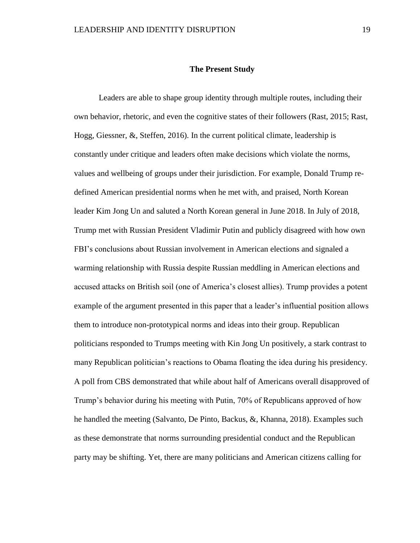## **The Present Study**

<span id="page-26-0"></span>Leaders are able to shape group identity through multiple routes, including their own behavior, rhetoric, and even the cognitive states of their followers (Rast, 2015; Rast, Hogg, Giessner, &, Steffen, 2016). In the current political climate, leadership is constantly under critique and leaders often make decisions which violate the norms, values and wellbeing of groups under their jurisdiction. For example, Donald Trump redefined American presidential norms when he met with, and praised, North Korean leader Kim Jong Un and saluted a North Korean general in June 2018. In July of 2018, Trump met with Russian President Vladimir Putin and publicly disagreed with how own FBI's conclusions about Russian involvement in American elections and signaled a warming relationship with Russia despite Russian meddling in American elections and accused attacks on British soil (one of America's closest allies). Trump provides a potent example of the argument presented in this paper that a leader's influential position allows them to introduce non-prototypical norms and ideas into their group. Republican politicians responded to Trumps meeting with Kin Jong Un positively, a stark contrast to many Republican politician's reactions to Obama floating the idea during his presidency. A poll from CBS demonstrated that while about half of Americans overall disapproved of Trump's behavior during his meeting with Putin, 70% of Republicans approved of how he handled the meeting (Salvanto, De Pinto, Backus, &, Khanna, 2018). Examples such as these demonstrate that norms surrounding presidential conduct and the Republican party may be shifting. Yet, there are many politicians and American citizens calling for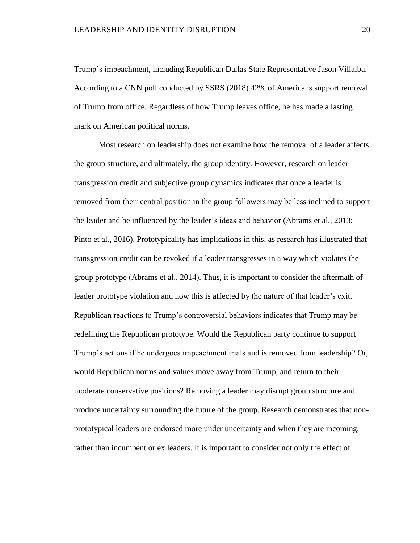Trump's impeachment, including Republican Dallas State Representative Jason Villalba. According to a CNN poll conducted by SSRS (2018) 42% of Americans support removal of Trump from office. Regardless of how Trump leaves office, he has made a lasting mark on American political norms.

Most research on leadership does not examine how the removal of a leader affects the group structure, and ultimately, the group identity. However, research on leader transgression credit and subjective group dynamics indicates that once a leader is removed from their central position in the group followers may be less inclined to support the leader and be influenced by the leader's ideas and behavior (Abrams et al., 2013; Pinto et al., 2016). Prototypicality has implications in this, as research has illustrated that transgression credit can be revoked if a leader transgresses in a way which violates the group prototype (Abrams et al., 2014). Thus, it is important to consider the aftermath of leader prototype violation and how this is affected by the nature of that leader's exit. Republican reactions to Trump's controversial behaviors indicates that Trump may be redefining the Republican prototype. Would the Republican party continue to support Trump's actions if he undergoes impeachment trials and is removed from leadership? Or, would Republican norms and values move away from Trump, and return to their moderate conservative positions? Removing a leader may disrupt group structure and produce uncertainty surrounding the future of the group. Research demonstrates that nonprototypical leaders are endorsed more under uncertainty and when they are incoming, rather than incumbent or ex leaders. It is important to consider not only the effect of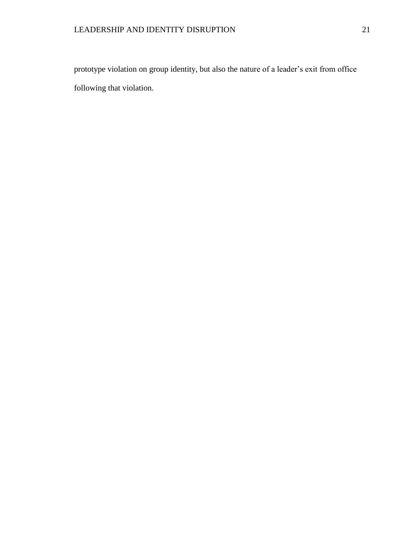prototype violation on group identity, but also the nature of a leader's exit from office following that violation.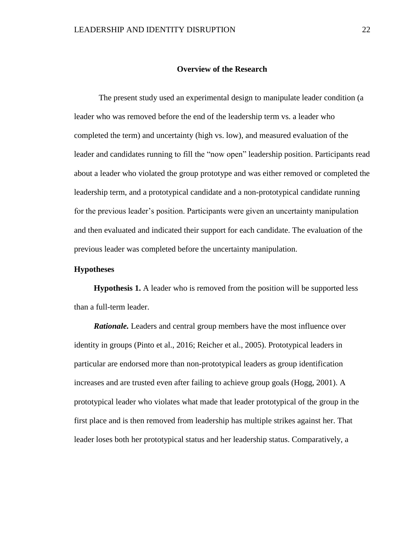#### **Overview of the Research**

<span id="page-29-0"></span>The present study used an experimental design to manipulate leader condition (a leader who was removed before the end of the leadership term vs. a leader who completed the term) and uncertainty (high vs. low), and measured evaluation of the leader and candidates running to fill the "now open" leadership position. Participants read about a leader who violated the group prototype and was either removed or completed the leadership term, and a prototypical candidate and a non-prototypical candidate running for the previous leader's position. Participants were given an uncertainty manipulation and then evaluated and indicated their support for each candidate. The evaluation of the previous leader was completed before the uncertainty manipulation.

## <span id="page-29-1"></span>**Hypotheses**

<span id="page-29-2"></span>**Hypothesis 1.** A leader who is removed from the position will be supported less than a full-term leader.

*Rationale.* Leaders and central group members have the most influence over identity in groups (Pinto et al., 2016; Reicher et al., 2005). Prototypical leaders in particular are endorsed more than non-prototypical leaders as group identification increases and are trusted even after failing to achieve group goals (Hogg, 2001). A prototypical leader who violates what made that leader prototypical of the group in the first place and is then removed from leadership has multiple strikes against her. That leader loses both her prototypical status and her leadership status. Comparatively, a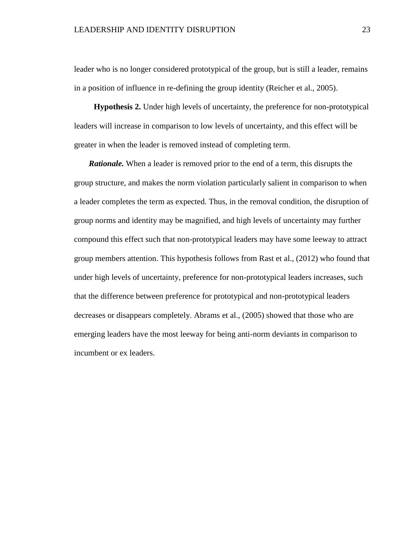leader who is no longer considered prototypical of the group, but is still a leader, remains in a position of influence in re-defining the group identity (Reicher et al., 2005).

<span id="page-30-0"></span>**Hypothesis 2.** Under high levels of uncertainty, the preference for non-prototypical leaders will increase in comparison to low levels of uncertainty, and this effect will be greater in when the leader is removed instead of completing term.

*Rationale.* When a leader is removed prior to the end of a term, this disrupts the group structure, and makes the norm violation particularly salient in comparison to when a leader completes the term as expected. Thus, in the removal condition, the disruption of group norms and identity may be magnified, and high levels of uncertainty may further compound this effect such that non-prototypical leaders may have some leeway to attract group members attention. This hypothesis follows from Rast et al., (2012) who found that under high levels of uncertainty, preference for non-prototypical leaders increases, such that the difference between preference for prototypical and non-prototypical leaders decreases or disappears completely. Abrams et al., (2005) showed that those who are emerging leaders have the most leeway for being anti-norm deviants in comparison to incumbent or ex leaders.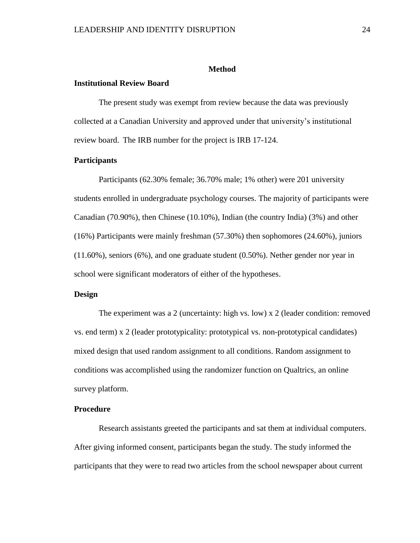#### **Method**

#### <span id="page-31-1"></span><span id="page-31-0"></span>**Institutional Review Board**

The present study was exempt from review because the data was previously collected at a Canadian University and approved under that university's institutional review board. The IRB number for the project is IRB 17-124.

# <span id="page-31-2"></span>**Participants**

Participants (62.30% female; 36.70% male; 1% other) were 201 university students enrolled in undergraduate psychology courses. The majority of participants were Canadian (70.90%), then Chinese (10.10%), Indian (the country India) (3%) and other (16%) Participants were mainly freshman (57.30%) then sophomores (24.60%), juniors (11.60%), seniors (6%), and one graduate student (0.50%). Nether gender nor year in school were significant moderators of either of the hypotheses.

# <span id="page-31-3"></span>**Design**

The experiment was a 2 (uncertainty: high vs. low) x 2 (leader condition: removed vs. end term) x 2 (leader prototypicality: prototypical vs. non-prototypical candidates) mixed design that used random assignment to all conditions. Random assignment to conditions was accomplished using the randomizer function on Qualtrics, an online survey platform.

# <span id="page-31-4"></span>**Procedure**

Research assistants greeted the participants and sat them at individual computers. After giving informed consent, participants began the study. The study informed the participants that they were to read two articles from the school newspaper about current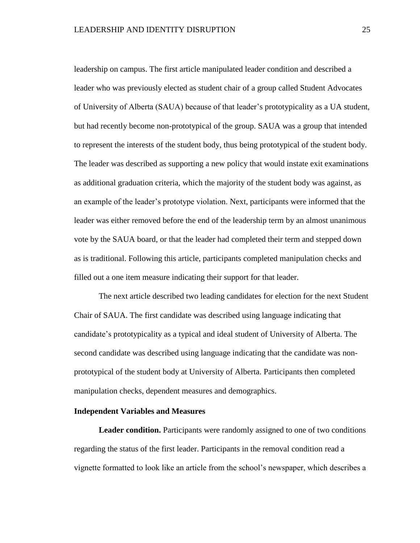leadership on campus. The first article manipulated leader condition and described a leader who was previously elected as student chair of a group called Student Advocates of University of Alberta (SAUA) because of that leader's prototypicality as a UA student, but had recently become non-prototypical of the group. SAUA was a group that intended to represent the interests of the student body, thus being prototypical of the student body. The leader was described as supporting a new policy that would instate exit examinations as additional graduation criteria, which the majority of the student body was against, as an example of the leader's prototype violation. Next, participants were informed that the leader was either removed before the end of the leadership term by an almost unanimous vote by the SAUA board, or that the leader had completed their term and stepped down as is traditional. Following this article, participants completed manipulation checks and filled out a one item measure indicating their support for that leader.

The next article described two leading candidates for election for the next Student Chair of SAUA. The first candidate was described using language indicating that candidate's prototypicality as a typical and ideal student of University of Alberta. The second candidate was described using language indicating that the candidate was nonprototypical of the student body at University of Alberta. Participants then completed manipulation checks, dependent measures and demographics.

## <span id="page-32-0"></span>**Independent Variables and Measures**

<span id="page-32-1"></span>**Leader condition.** Participants were randomly assigned to one of two conditions regarding the status of the first leader. Participants in the removal condition read a vignette formatted to look like an article from the school's newspaper, which describes a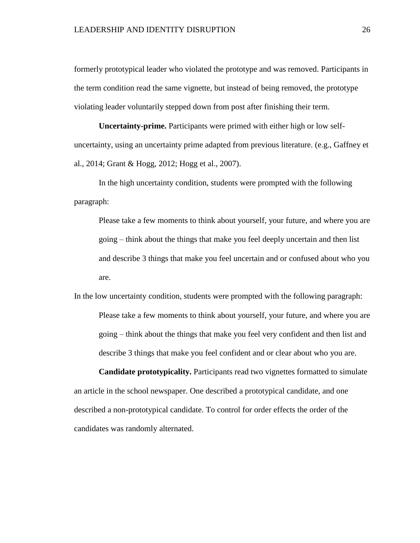formerly prototypical leader who violated the prototype and was removed. Participants in the term condition read the same vignette, but instead of being removed, the prototype violating leader voluntarily stepped down from post after finishing their term.

<span id="page-33-0"></span>**Uncertainty-prime.** Participants were primed with either high or low selfuncertainty, using an uncertainty prime adapted from previous literature. (e.g., Gaffney et al., 2014; Grant & Hogg, 2012; Hogg et al., 2007).

In the high uncertainty condition, students were prompted with the following paragraph:

Please take a few moments to think about yourself, your future, and where you are going – think about the things that make you feel deeply uncertain and then list and describe 3 things that make you feel uncertain and or confused about who you are.

In the low uncertainty condition, students were prompted with the following paragraph: Please take a few moments to think about yourself, your future, and where you are going – think about the things that make you feel very confident and then list and describe 3 things that make you feel confident and or clear about who you are.

<span id="page-33-1"></span>**Candidate prototypicality.** Participants read two vignettes formatted to simulate an article in the school newspaper. One described a prototypical candidate, and one described a non-prototypical candidate. To control for order effects the order of the candidates was randomly alternated.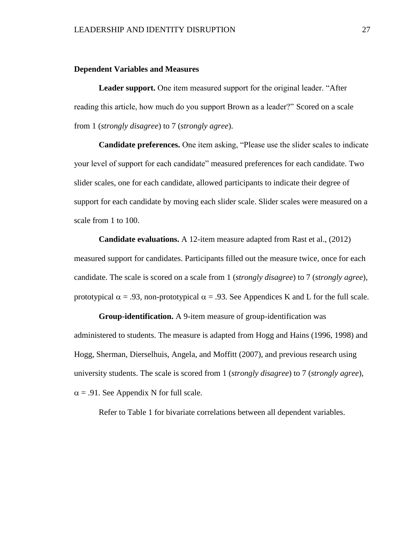## <span id="page-34-0"></span>**Dependent Variables and Measures**

<span id="page-34-1"></span>**Leader support.** One item measured support for the original leader. "After reading this article, how much do you support Brown as a leader?" Scored on a scale from 1 (*strongly disagree*) to 7 (*strongly agree*).

<span id="page-34-2"></span>**Candidate preferences.** One item asking, "Please use the slider scales to indicate your level of support for each candidate" measured preferences for each candidate. Two slider scales, one for each candidate, allowed participants to indicate their degree of support for each candidate by moving each slider scale. Slider scales were measured on a scale from 1 to 100.

<span id="page-34-3"></span>**Candidate evaluations.** A 12-item measure adapted from Rast et al., (2012) measured support for candidates. Participants filled out the measure twice, once for each candidate. The scale is scored on a scale from 1 (*strongly disagree*) to 7 (*strongly agree*), prototypical  $\alpha = .93$ , non-prototypical  $\alpha = .93$ . See Appendices K and L for the full scale.

<span id="page-34-4"></span>**Group-identification.** A 9-item measure of group-identification was administered to students. The measure is adapted from Hogg and Hains (1996, 1998) and Hogg, Sherman, Dierselhuis, Angela, and Moffitt (2007), and previous research using university students. The scale is scored from 1 (*strongly disagree*) to 7 (*strongly agree*),  $\alpha$  = .91. See Appendix N for full scale.

Refer to Table 1 for bivariate correlations between all dependent variables.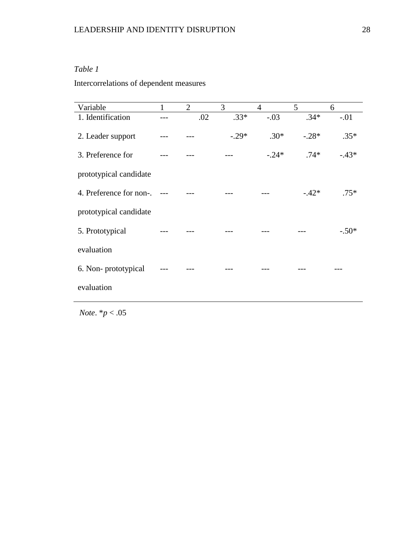# <span id="page-35-0"></span>*Table 1*

# Intercorrelations of dependent measures

| Variable                | 1 | $\overline{2}$ | 3       | $\overline{4}$ | 5       | 6       |
|-------------------------|---|----------------|---------|----------------|---------|---------|
| 1. Identification       |   | .02            | $.33*$  | $-.03$         | $.34*$  | $-.01$  |
| 2. Leader support       |   |                | $-.29*$ | $.30*$         | $-.28*$ | $.35*$  |
| 3. Preference for       |   |                |         | $-.24*$        | $.74*$  | $-.43*$ |
| prototypical candidate  |   |                |         |                |         |         |
| 4. Preference for non-. |   |                |         |                | $-42*$  | $.75*$  |
| prototypical candidate  |   |                |         |                |         |         |
| 5. Prototypical         |   |                |         |                |         | $-.50*$ |
| evaluation              |   |                |         |                |         |         |
| 6. Non-prototypical     |   |                |         |                |         |         |
| evaluation              |   |                |         |                |         |         |

*Note*. \**p* < .05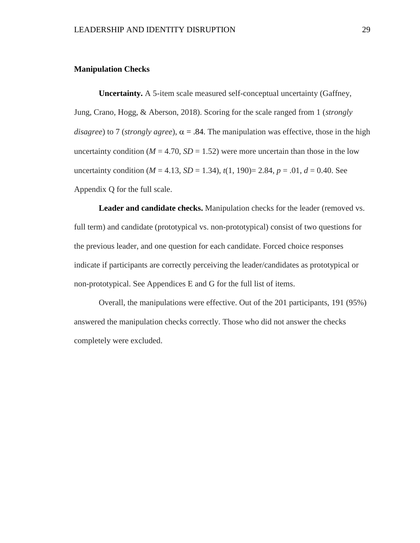### **Manipulation Checks**

**Uncertainty.** A 5-item scale measured self-conceptual uncertainty (Gaffney, Jung, Crano, Hogg, & Aberson, 2018). Scoring for the scale ranged from 1 (*strongly disagree*) to 7 (*strongly agree*),  $\alpha$  = .84. The manipulation was effective, those in the high uncertainty condition ( $M = 4.70$ ,  $SD = 1.52$ ) were more uncertain than those in the low uncertainty condition ( $M = 4.13$ ,  $SD = 1.34$ ),  $t(1, 190) = 2.84$ ,  $p = .01$ ,  $d = 0.40$ . See Appendix Q for the full scale.

**Leader and candidate checks.** Manipulation checks for the leader (removed vs. full term) and candidate (prototypical vs. non-prototypical) consist of two questions for the previous leader, and one question for each candidate. Forced choice responses indicate if participants are correctly perceiving the leader/candidates as prototypical or non-prototypical. See Appendices E and G for the full list of items.

Overall, the manipulations were effective. Out of the 201 participants, 191 (95%) answered the manipulation checks correctly. Those who did not answer the checks completely were excluded.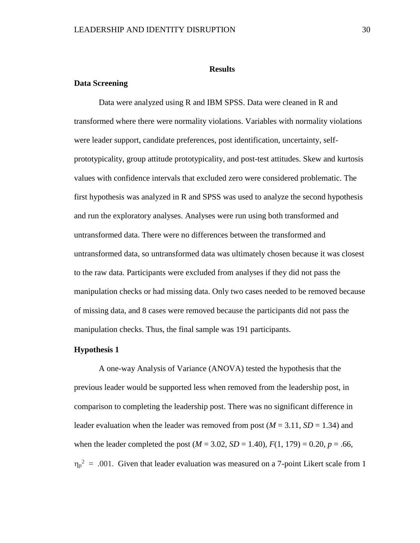#### **Results**

### **Data Screening**

Data were analyzed using R and IBM SPSS. Data were cleaned in R and transformed where there were normality violations. Variables with normality violations were leader support, candidate preferences, post identification, uncertainty, selfprototypicality, group attitude prototypicality, and post-test attitudes. Skew and kurtosis values with confidence intervals that excluded zero were considered problematic. The first hypothesis was analyzed in R and SPSS was used to analyze the second hypothesis and run the exploratory analyses. Analyses were run using both transformed and untransformed data. There were no differences between the transformed and untransformed data, so untransformed data was ultimately chosen because it was closest to the raw data. Participants were excluded from analyses if they did not pass the manipulation checks or had missing data. Only two cases needed to be removed because of missing data, and 8 cases were removed because the participants did not pass the manipulation checks. Thus, the final sample was 191 participants.

### **Hypothesis 1**

A one-way Analysis of Variance (ANOVA) tested the hypothesis that the previous leader would be supported less when removed from the leadership post, in comparison to completing the leadership post. There was no significant difference in leader evaluation when the leader was removed from post  $(M = 3.11, SD = 1.34)$  and when the leader completed the post ( $M = 3.02$ ,  $SD = 1.40$ ),  $F(1, 179) = 0.20$ ,  $p = .66$ ,  $\eta_p^2$  = .001. Given that leader evaluation was measured on a 7-point Likert scale from 1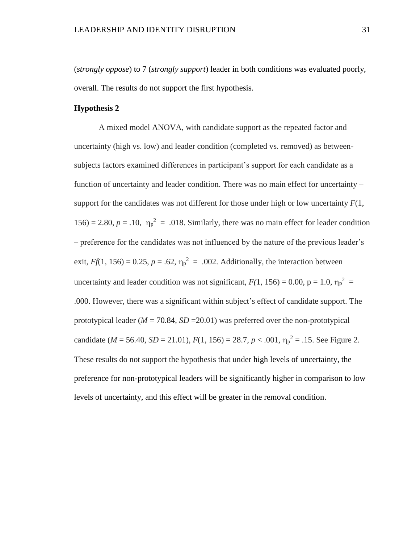(*strongly oppose*) to 7 (*strongly support*) leader in both conditions was evaluated poorly, overall. The results do not support the first hypothesis.

### **Hypothesis 2**

A mixed model ANOVA, with candidate support as the repeated factor and uncertainty (high vs. low) and leader condition (completed vs. removed) as betweensubjects factors examined differences in participant's support for each candidate as a function of uncertainty and leader condition. There was no main effect for uncertainty – support for the candidates was not different for those under high or low uncertainty  $F(1)$ , 156) = 2.80,  $p = .10$ ,  $\eta_p^2 = .018$ . Similarly, there was no main effect for leader condition – preference for the candidates was not influenced by the nature of the previous leader's exit,  $Ff(1, 156) = 0.25$ ,  $p = .62$ ,  $\eta_p^2 = .002$ . Additionally, the interaction between uncertainty and leader condition was not significant,  $F(1, 156) = 0.00$ ,  $p = 1.0$ ,  $\eta_p^2 =$ .000. However, there was a significant within subject's effect of candidate support. The prototypical leader ( $M = 70.84$ ,  $SD = 20.01$ ) was preferred over the non-prototypical candidate ( $M = 56.40$ ,  $SD = 21.01$ ),  $F(1, 156) = 28.7$ ,  $p < .001$ ,  $\eta_p^2 = .15$ . See Figure 2. These results do not support the hypothesis that under high levels of uncertainty, the preference for non-prototypical leaders will be significantly higher in comparison to low levels of uncertainty, and this effect will be greater in the removal condition.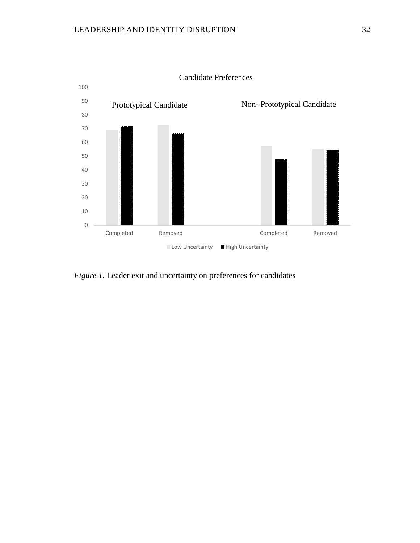

*Figure 1.* Leader exit and uncertainty on preferences for candidates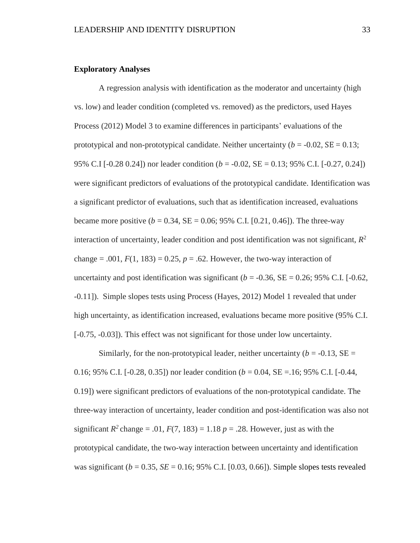### **Exploratory Analyses**

A regression analysis with identification as the moderator and uncertainty (high vs. low) and leader condition (completed vs. removed) as the predictors, used Hayes Process (2012) Model 3 to examine differences in participants' evaluations of the prototypical and non-prototypical candidate. Neither uncertainty  $(b = -0.02, SE = 0.13;$ 95% C.I [ $-0.28$  0.24]) nor leader condition ( $b = -0.02$ ,  $SE = 0.13$ ; 95% C.I. [ $-0.27$ , 0.24]) were significant predictors of evaluations of the prototypical candidate. Identification was a significant predictor of evaluations, such that as identification increased, evaluations became more positive  $(b = 0.34, SE = 0.06; 95\% \text{ C.I.} [0.21, 0.46]$ . The three-way interaction of uncertainty, leader condition and post identification was not significant,  $R^2$ change =  $.001, F(1, 183) = 0.25, p = .62$ . However, the two-way interaction of uncertainty and post identification was significant ( $b = -0.36$ ,  $SE = 0.26$ ; 95% C.I. [ $-0.62$ , -0.11]). Simple slopes tests using Process (Hayes, 2012) Model 1 revealed that under high uncertainty, as identification increased, evaluations became more positive (95% C.I. [-0.75, -0.03]). This effect was not significant for those under low uncertainty.

Similarly, for the non-prototypical leader, neither uncertainty  $(b = -0.13, SE =$ 0.16; 95% C.I. [-0.28, 0.35]) nor leader condition (*b* = 0.04, SE =.16; 95% C.I. [-0.44, 0.19]) were significant predictors of evaluations of the non-prototypical candidate. The three-way interaction of uncertainty, leader condition and post-identification was also not significant  $R^2$  change = .01,  $F(7, 183) = 1.18 p = .28$ . However, just as with the prototypical candidate, the two-way interaction between uncertainty and identification was significant ( $b = 0.35$ ,  $SE = 0.16$ ; 95% C.I. [0.03, 0.66]). Simple slopes tests revealed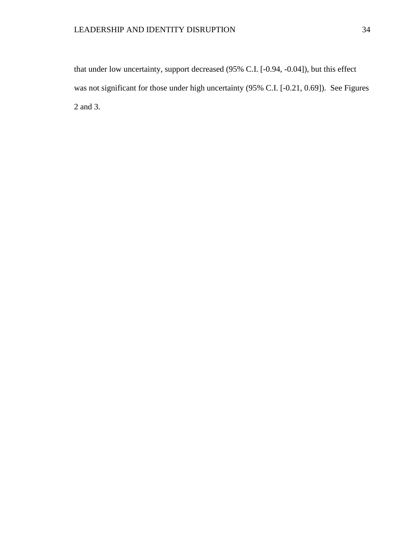that under low uncertainty, support decreased (95% C.I. [-0.94, -0.04]), but this effect was not significant for those under high uncertainty (95% C.I. [-0.21, 0.69]). See Figures 2 and 3.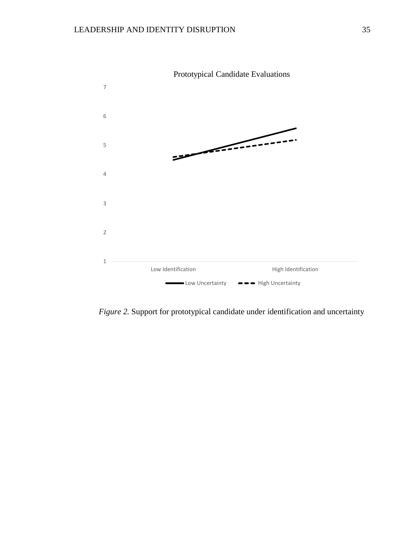

*Figure 2.* Support for prototypical candidate under identification and uncertainty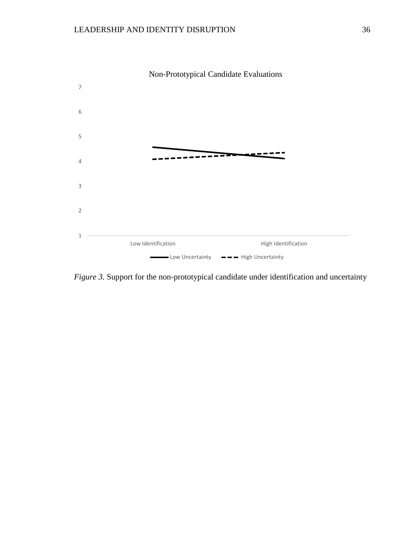

*Figure 3.* Support for the non-prototypical candidate under identification and uncertainty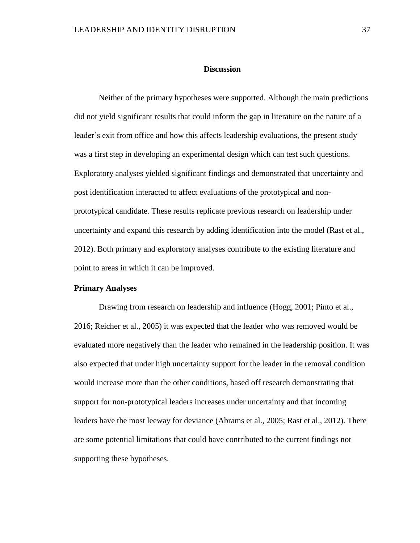### **Discussion**

Neither of the primary hypotheses were supported. Although the main predictions did not yield significant results that could inform the gap in literature on the nature of a leader's exit from office and how this affects leadership evaluations, the present study was a first step in developing an experimental design which can test such questions. Exploratory analyses yielded significant findings and demonstrated that uncertainty and post identification interacted to affect evaluations of the prototypical and nonprototypical candidate. These results replicate previous research on leadership under uncertainty and expand this research by adding identification into the model (Rast et al., 2012). Both primary and exploratory analyses contribute to the existing literature and point to areas in which it can be improved.

### **Primary Analyses**

Drawing from research on leadership and influence (Hogg, 2001; Pinto et al., 2016; Reicher et al., 2005) it was expected that the leader who was removed would be evaluated more negatively than the leader who remained in the leadership position. It was also expected that under high uncertainty support for the leader in the removal condition would increase more than the other conditions, based off research demonstrating that support for non-prototypical leaders increases under uncertainty and that incoming leaders have the most leeway for deviance (Abrams et al., 2005; Rast et al., 2012). There are some potential limitations that could have contributed to the current findings not supporting these hypotheses.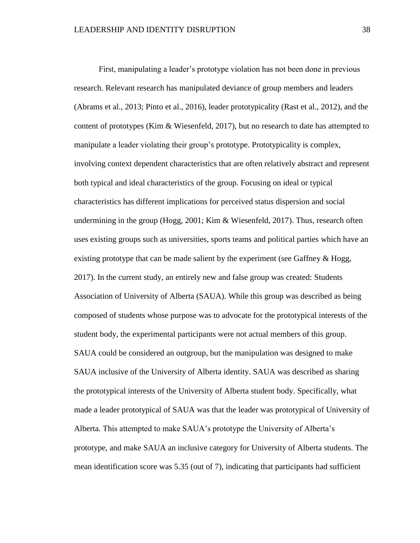First, manipulating a leader's prototype violation has not been done in previous research. Relevant research has manipulated deviance of group members and leaders (Abrams et al., 2013; Pinto et al., 2016), leader prototypicality (Rast et al., 2012), and the content of prototypes (Kim & Wiesenfeld, 2017), but no research to date has attempted to manipulate a leader violating their group's prototype. Prototypicality is complex, involving context dependent characteristics that are often relatively abstract and represent both typical and ideal characteristics of the group. Focusing on ideal or typical characteristics has different implications for perceived status dispersion and social undermining in the group (Hogg, 2001; Kim & Wiesenfeld, 2017). Thus, research often uses existing groups such as universities, sports teams and political parties which have an existing prototype that can be made salient by the experiment (see Gaffney  $\&$  Hogg, 2017). In the current study, an entirely new and false group was created: Students Association of University of Alberta (SAUA). While this group was described as being composed of students whose purpose was to advocate for the prototypical interests of the student body, the experimental participants were not actual members of this group. SAUA could be considered an outgroup, but the manipulation was designed to make SAUA inclusive of the University of Alberta identity. SAUA was described as sharing the prototypical interests of the University of Alberta student body. Specifically, what made a leader prototypical of SAUA was that the leader was prototypical of University of Alberta. This attempted to make SAUA's prototype the University of Alberta's prototype, and make SAUA an inclusive category for University of Alberta students. The mean identification score was 5.35 (out of 7), indicating that participants had sufficient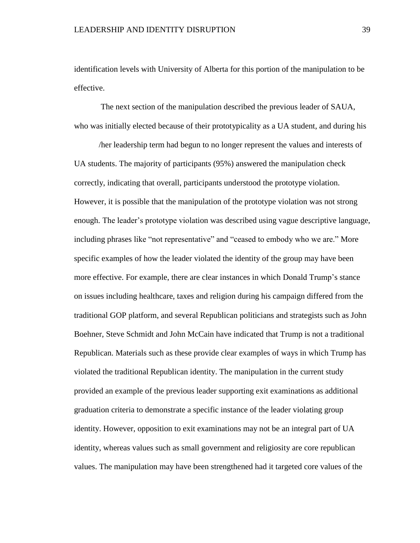identification levels with University of Alberta for this portion of the manipulation to be effective.

The next section of the manipulation described the previous leader of SAUA, who was initially elected because of their prototypicality as a UA student, and during his

/her leadership term had begun to no longer represent the values and interests of UA students. The majority of participants (95%) answered the manipulation check correctly, indicating that overall, participants understood the prototype violation. However, it is possible that the manipulation of the prototype violation was not strong enough. The leader's prototype violation was described using vague descriptive language, including phrases like "not representative" and "ceased to embody who we are." More specific examples of how the leader violated the identity of the group may have been more effective. For example, there are clear instances in which Donald Trump's stance on issues including healthcare, taxes and religion during his campaign differed from the traditional GOP platform, and several Republican politicians and strategists such as John Boehner, Steve Schmidt and John McCain have indicated that Trump is not a traditional Republican. Materials such as these provide clear examples of ways in which Trump has violated the traditional Republican identity. The manipulation in the current study provided an example of the previous leader supporting exit examinations as additional graduation criteria to demonstrate a specific instance of the leader violating group identity. However, opposition to exit examinations may not be an integral part of UA identity, whereas values such as small government and religiosity are core republican values. The manipulation may have been strengthened had it targeted core values of the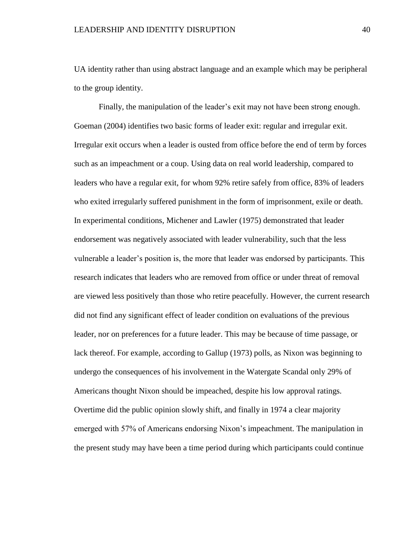UA identity rather than using abstract language and an example which may be peripheral to the group identity.

Finally, the manipulation of the leader's exit may not have been strong enough. Goeman (2004) identifies two basic forms of leader exit: regular and irregular exit. Irregular exit occurs when a leader is ousted from office before the end of term by forces such as an impeachment or a coup. Using data on real world leadership, compared to leaders who have a regular exit, for whom 92% retire safely from office, 83% of leaders who exited irregularly suffered punishment in the form of imprisonment, exile or death. In experimental conditions, Michener and Lawler (1975) demonstrated that leader endorsement was negatively associated with leader vulnerability, such that the less vulnerable a leader's position is, the more that leader was endorsed by participants. This research indicates that leaders who are removed from office or under threat of removal are viewed less positively than those who retire peacefully. However, the current research did not find any significant effect of leader condition on evaluations of the previous leader, nor on preferences for a future leader. This may be because of time passage, or lack thereof. For example, according to Gallup (1973) polls, as Nixon was beginning to undergo the consequences of his involvement in the Watergate Scandal only 29% of Americans thought Nixon should be impeached, despite his low approval ratings. Overtime did the public opinion slowly shift, and finally in 1974 a clear majority emerged with 57% of Americans endorsing Nixon's impeachment. The manipulation in the present study may have been a time period during which participants could continue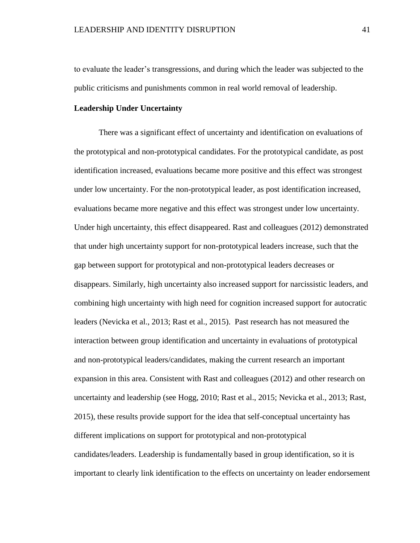to evaluate the leader's transgressions, and during which the leader was subjected to the public criticisms and punishments common in real world removal of leadership.

### **Leadership Under Uncertainty**

There was a significant effect of uncertainty and identification on evaluations of the prototypical and non-prototypical candidates. For the prototypical candidate, as post identification increased, evaluations became more positive and this effect was strongest under low uncertainty. For the non-prototypical leader, as post identification increased, evaluations became more negative and this effect was strongest under low uncertainty. Under high uncertainty, this effect disappeared. Rast and colleagues (2012) demonstrated that under high uncertainty support for non-prototypical leaders increase, such that the gap between support for prototypical and non-prototypical leaders decreases or disappears. Similarly, high uncertainty also increased support for narcissistic leaders, and combining high uncertainty with high need for cognition increased support for autocratic leaders (Nevicka et al., 2013; Rast et al., 2015). Past research has not measured the interaction between group identification and uncertainty in evaluations of prototypical and non-prototypical leaders/candidates, making the current research an important expansion in this area. Consistent with Rast and colleagues (2012) and other research on uncertainty and leadership (see Hogg, 2010; Rast et al., 2015; Nevicka et al., 2013; Rast, 2015), these results provide support for the idea that self-conceptual uncertainty has different implications on support for prototypical and non-prototypical candidates/leaders. Leadership is fundamentally based in group identification, so it is important to clearly link identification to the effects on uncertainty on leader endorsement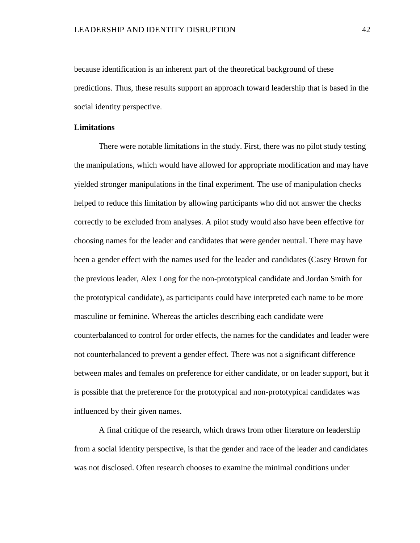because identification is an inherent part of the theoretical background of these predictions. Thus, these results support an approach toward leadership that is based in the social identity perspective.

### **Limitations**

There were notable limitations in the study. First, there was no pilot study testing the manipulations, which would have allowed for appropriate modification and may have yielded stronger manipulations in the final experiment. The use of manipulation checks helped to reduce this limitation by allowing participants who did not answer the checks correctly to be excluded from analyses. A pilot study would also have been effective for choosing names for the leader and candidates that were gender neutral. There may have been a gender effect with the names used for the leader and candidates (Casey Brown for the previous leader, Alex Long for the non-prototypical candidate and Jordan Smith for the prototypical candidate), as participants could have interpreted each name to be more masculine or feminine. Whereas the articles describing each candidate were counterbalanced to control for order effects, the names for the candidates and leader were not counterbalanced to prevent a gender effect. There was not a significant difference between males and females on preference for either candidate, or on leader support, but it is possible that the preference for the prototypical and non-prototypical candidates was influenced by their given names.

A final critique of the research, which draws from other literature on leadership from a social identity perspective, is that the gender and race of the leader and candidates was not disclosed. Often research chooses to examine the minimal conditions under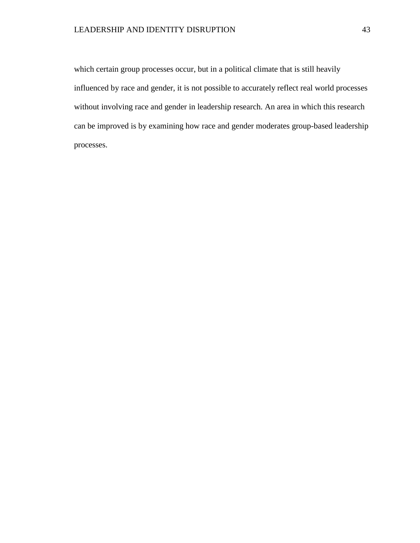### LEADERSHIP AND IDENTITY DISRUPTION 43

which certain group processes occur, but in a political climate that is still heavily influenced by race and gender, it is not possible to accurately reflect real world processes without involving race and gender in leadership research. An area in which this research can be improved is by examining how race and gender moderates group-based leadership processes.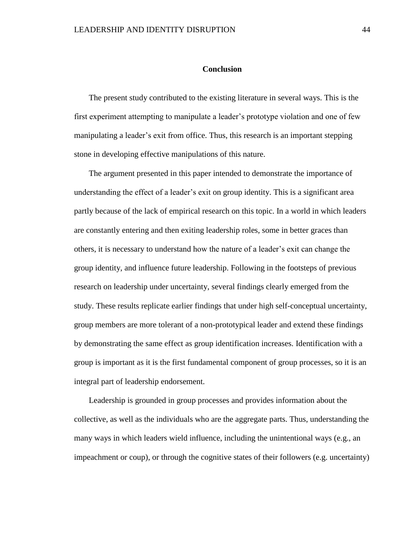### **Conclusion**

The present study contributed to the existing literature in several ways. This is the first experiment attempting to manipulate a leader's prototype violation and one of few manipulating a leader's exit from office. Thus, this research is an important stepping stone in developing effective manipulations of this nature.

The argument presented in this paper intended to demonstrate the importance of understanding the effect of a leader's exit on group identity. This is a significant area partly because of the lack of empirical research on this topic. In a world in which leaders are constantly entering and then exiting leadership roles, some in better graces than others, it is necessary to understand how the nature of a leader's exit can change the group identity, and influence future leadership. Following in the footsteps of previous research on leadership under uncertainty, several findings clearly emerged from the study. These results replicate earlier findings that under high self-conceptual uncertainty, group members are more tolerant of a non-prototypical leader and extend these findings by demonstrating the same effect as group identification increases. Identification with a group is important as it is the first fundamental component of group processes, so it is an integral part of leadership endorsement.

Leadership is grounded in group processes and provides information about the collective, as well as the individuals who are the aggregate parts. Thus, understanding the many ways in which leaders wield influence, including the unintentional ways (e.g., an impeachment or coup), or through the cognitive states of their followers (e.g. uncertainty)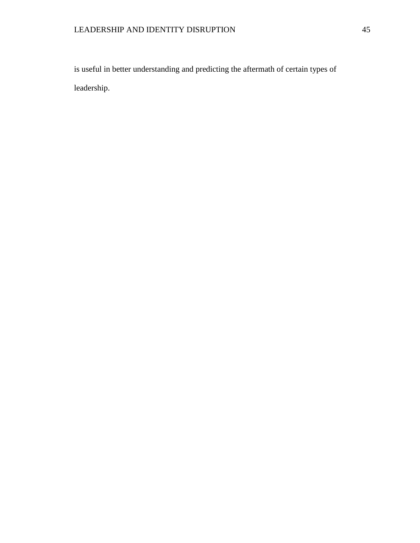is useful in better understanding and predicting the aftermath of certain types of leadership.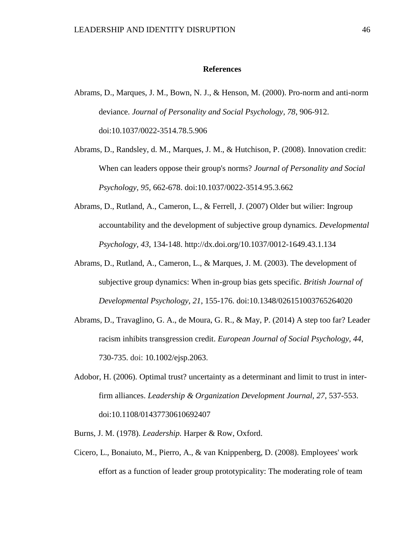### **References**

- Abrams, D., Marques, J. M., Bown, N. J., & Henson, M. (2000). Pro-norm and anti-norm deviance. *Journal of Personality and Social Psychology, 78*, 906-912. doi:10.1037/0022-3514.78.5.906
- Abrams, D., Randsley, d. M., Marques, J. M., & Hutchison, P. (2008). Innovation credit: When can leaders oppose their group's norms? *Journal of Personality and Social Psychology, 95*, 662-678. doi:10.1037/0022-3514.95.3.662
- Abrams, D., Rutland, A., Cameron, L., & Ferrell, J. (2007) Older but wilier: Ingroup accountability and the development of subjective group dynamics. *Developmental Psychology, 43*, 134-148. http://dx.doi.org/10.1037/0012-1649.43.1.134
- Abrams, D., Rutland, A., Cameron, L., & Marques, J. M. (2003). The development of subjective group dynamics: When in-group bias gets specific. *British Journal of Developmental Psychology, 21*, 155-176. doi:10.1348/026151003765264020
- Abrams, D., Travaglino, G. A., de Moura, G. R., & May, P. (2014) A step too far? Leader racism inhibits transgression credit. *European Journal of Social Psychology, 44*, 730-735. doi: 10.1002/ejsp.2063.
- Adobor, H. (2006). Optimal trust? uncertainty as a determinant and limit to trust in interfirm alliances. *Leadership & Organization Development Journal, 27*, 537-553. doi:10.1108/01437730610692407
- Burns, J. M. (1978). *Leadership.* Harper & Row, Oxford.
- Cicero, L., Bonaiuto, M., Pierro, A., & van Knippenberg, D. (2008). Employees' work effort as a function of leader group prototypicality: The moderating role of team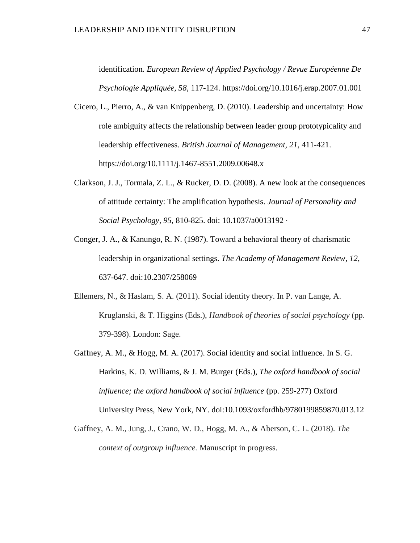identification. *European Review of Applied Psychology / Revue Européenne De Psychologie Appliquée, 58*, 117-124. https://doi.org/10.1016/j.erap.2007.01.001

- Cicero, L., Pierro, A., & van Knippenberg, D. (2010). Leadership and uncertainty: How role ambiguity affects the relationship between leader group prototypicality and leadership effectiveness. *British Journal of Management, 21*, 411-421. https://doi.org/10.1111/j.1467-8551.2009.00648.x
- Clarkson, J. J., Tormala, Z. L., & Rucker, D. D. (2008). A new look at the consequences of attitude certainty: The amplification hypothesis. *Journal of Personality and Social Psychology, 95*, 810-825. doi: 10.1037/a0013192 ·
- Conger, J. A., & Kanungo, R. N. (1987). Toward a behavioral theory of charismatic leadership in organizational settings. *The Academy of Management Review, 12*, 637-647. doi:10.2307/258069
- Ellemers, N., & Haslam, S. A. (2011). Social identity theory. In P. van Lange, A. Kruglanski, & T. Higgins (Eds.), *Handbook of theories of social psychology* (pp. 379-398). London: Sage.
- Gaffney, A. M., & Hogg, M. A. (2017). Social identity and social influence. In S. G. Harkins, K. D. Williams, & J. M. Burger (Eds.), *The oxford handbook of social influence; the oxford handbook of social influence* (pp. 259-277) Oxford University Press, New York, NY. doi:10.1093/oxfordhb/9780199859870.013.12
- Gaffney, A. M., Jung, J., Crano, W. D., Hogg, M. A., & Aberson, C. L. (2018). *The context of outgroup influence.* Manuscript in progress.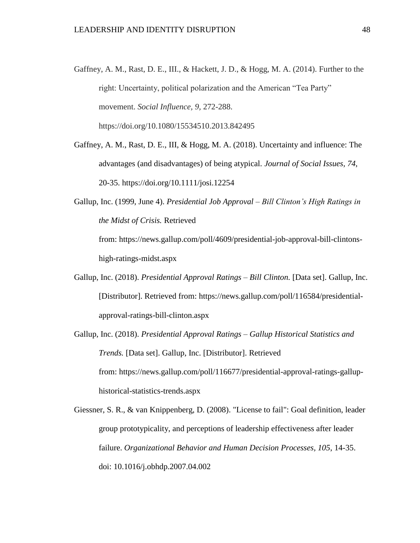- Gaffney, A. M., Rast, D. E., III., & Hackett, J. D., & Hogg, M. A. (2014). Further to the right: Uncertainty, political polarization and the American "Tea Party" movement. *Social Influence, 9,* 272-288. https://doi.org/10.1080/15534510.2013.842495
- Gaffney, A. M., Rast, D. E., III, & Hogg, M. A. (2018). Uncertainty and influence: The advantages (and disadvantages) of being atypical. *Journal of Social Issues, 74*, 20-35.<https://doi.org/10.1111/josi.12254>
- Gallup, Inc. (1999, June 4). *Presidential Job Approval – Bill Clinton's High Ratings in the Midst of Crisis.* Retrieved from: https://news.gallup.com/poll/4609/presidential-job-approval-bill-clintons-

high-ratings-midst.aspx

- Gallup, Inc. (2018). *Presidential Approval Ratings – Bill Clinton.* [Data set]. Gallup, Inc. [Distributor]. Retrieved from: https://news.gallup.com/poll/116584/presidentialapproval-ratings-bill-clinton.aspx
- Gallup, Inc. (2018). *Presidential Approval Ratings – Gallup Historical Statistics and Trends.* [Data set]. Gallup, Inc. [Distributor]. Retrieved from: https://news.gallup.com/poll/116677/presidential-approval-ratings-galluphistorical-statistics-trends.aspx
- Giessner, S. R., & van Knippenberg, D. (2008). "License to fail": Goal definition, leader group prototypicality, and perceptions of leadership effectiveness after leader failure. *Organizational Behavior and Human Decision Processes, 105*, 14-35. doi: 10.1016/j.obhdp.2007.04.002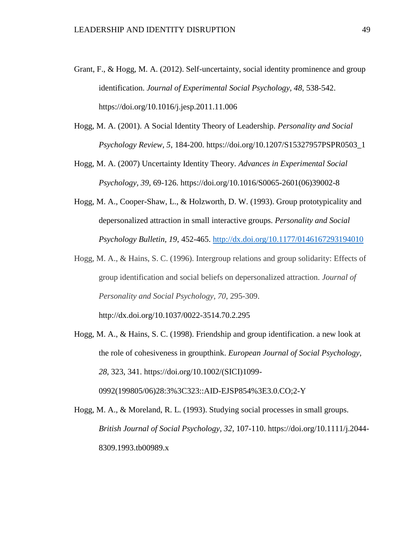- Grant, F., & Hogg, M. A. (2012). Self-uncertainty, social identity prominence and group identification. *Journal of Experimental Social Psychology, 48*, 538-542. https://doi.org/10.1016/j.jesp.2011.11.006
- Hogg, M. A. (2001). A Social Identity Theory of Leadership. *Personality and Social Psychology Review, 5*, 184-200. https://doi.org/10.1207/S15327957PSPR0503\_1
- Hogg, M. A. (2007) Uncertainty Identity Theory. *Advances in Experimental Social Psychology, 39,* 69-126. https://doi.org/10.1016/S0065-2601(06)39002-8
- Hogg, M. A., Cooper-Shaw, L., & Holzworth, D. W. (1993). Group prototypicality and depersonalized attraction in small interactive groups. *Personality and Social Psychology Bulletin, 19*, 452-465.<http://dx.doi.org/10.1177/0146167293194010>
- Hogg, M. A., & Hains, S. C. (1996). Intergroup relations and group solidarity: Effects of group identification and social beliefs on depersonalized attraction. *Journal of Personality and Social Psychology, 70*, 295-309.

http://dx.doi.org/10.1037/0022-3514.70.2.295

Hogg, M. A., & Hains, S. C. (1998). Friendship and group identification. a new look at the role of cohesiveness in groupthink. *European Journal of Social Psychology, 28,* 323, 341. https://doi.org/10.1002/(SICI)1099- 0992(199805/06)28:3%3C323::AID-EJSP854%3E3.0.CO;2-Y

Hogg, M. A., & Moreland, R. L. (1993). Studying social processes in small groups. *British Journal of Social Psychology, 32*, 107-110. [https://doi.org/10.1111/j.2044-](https://doi.org/10.1111/j.2044-8309.1993.tb00989.x) [8309.1993.tb00989.x](https://doi.org/10.1111/j.2044-8309.1993.tb00989.x)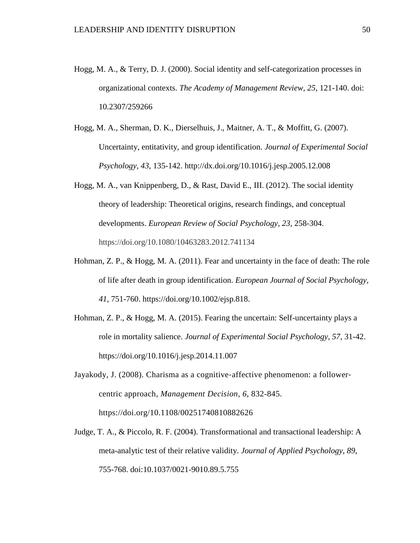- Hogg, M. A., & Terry, D. J. (2000). Social identity and self-categorization processes in organizational contexts. *The Academy of Management Review, 25*, 121-140. doi: 10.2307/259266
- Hogg, M. A., Sherman, D. K., Dierselhuis, J., Maitner, A. T., & Moffitt, G. (2007). Uncertainty, entitativity, and group identification. *Journal of Experimental Social Psychology, 43*, 135-142. http://dx.doi.org/10.1016/j.jesp.2005.12.008
- Hogg, M. A., van Knippenberg, D., & Rast, David E., III. (2012). The social identity theory of leadership: Theoretical origins, research findings, and conceptual developments. *European Review of Social Psychology, 23*, 258-304. https://doi.org/10.1080/10463283.2012.741134
- Hohman, Z. P., & Hogg, M. A. (2011). Fear and uncertainty in the face of death: The role of life after death in group identification. *European Journal of Social Psychology, 41*, 751-760. https://doi.org/10.1002/ejsp.818.
- Hohman, Z. P., & Hogg, M. A. (2015). Fearing the uncertain: Self-uncertainty plays a role in mortality salience. *Journal of Experimental Social Psychology, 57*, 31-42. https://doi.org/10.1016/j.jesp.2014.11.007
- Jayakody, J. (2008). Charisma as a cognitive‐affective phenomenon: a follower‐ centric approach, *Management Decision*, *6*, 832-845. https://doi.org/10.1108/00251740810882626
- Judge, T. A., & Piccolo, R. F. (2004). Transformational and transactional leadership: A meta-analytic test of their relative validity. *Journal of Applied Psychology, 89*, 755-768. doi:10.1037/0021-9010.89.5.755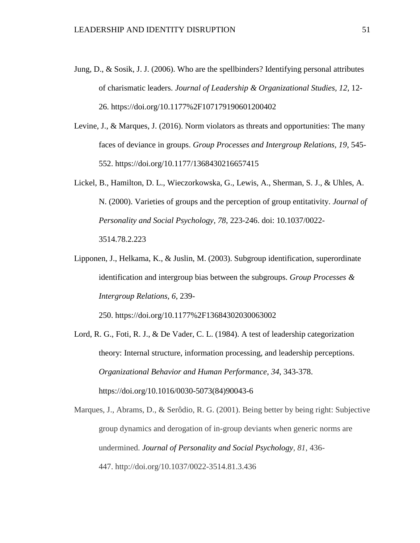- Jung, D., & Sosik, J. J. (2006). Who are the spellbinders? Identifying personal attributes of charismatic leaders. *Journal of Leadership & Organizational Studies, 12*, 12- 26. https://doi.org/10.1177%2F107179190601200402
- Levine, J., & Marques, J. (2016). Norm violators as threats and opportunities: The many faces of deviance in groups. *Group Processes and Intergroup Relations, 19*, 545- 552. https://doi.org/10.1177/1368430216657415
- Lickel, B., Hamilton, D. L., Wieczorkowska, G., Lewis, A., Sherman, S. J., & Uhles, A. N. (2000). Varieties of groups and the perception of group entitativity. *Journal of Personality and Social Psychology, 78*, 223-246. doi: 10.1037/0022- 3514.78.2.223
- Lipponen, J., Helkama, K., & Juslin, M. (2003). Subgroup identification, superordinate identification and intergroup bias between the subgroups. *Group Processes & Intergroup Relations, 6*, 239-

250. https://doi.org/10.1177%2F13684302030063002

Lord, R. G., Foti, R. J., & De Vader, C. L. (1984). A test of leadership categorization theory: Internal structure, information processing, and leadership perceptions. *Organizational Behavior and Human Performance*, *34*, 343-378. https://doi.org/10.1016/0030-5073(84)90043-6

Marques, J., Abrams, D., & Serôdio, R. G. (2001). Being better by being right: Subjective group dynamics and derogation of in-group deviants when generic norms are undermined. *Journal of Personality and Social Psychology, 81*, 436- 447. http://doi.org/10.1037/0022-3514.81.3.436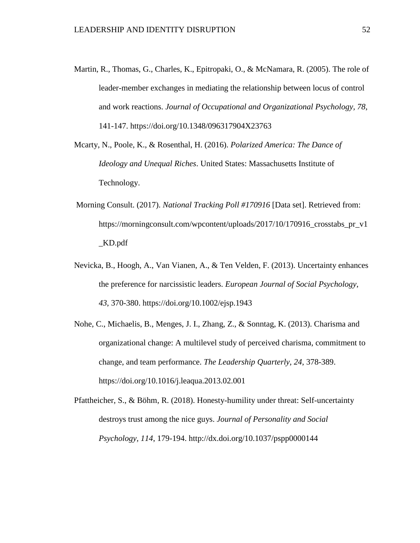- Martin, R., Thomas, G., Charles, K., Epitropaki, O., & McNamara, R. (2005). The role of leader-member exchanges in mediating the relationship between locus of control and work reactions. *Journal of Occupational and Organizational Psychology, 78*, 141-147. https://doi.org/10.1348/096317904X23763
- Mcarty, N., Poole, K., & Rosenthal, H. (2016). *Polarized America: The Dance of Ideology and Unequal Riches*. United States: Massachusetts Institute of Technology.
- Morning Consult. (2017). *National Tracking Poll #170916* [Data set]. Retrieved from: https://morningconsult.com/wpcontent/uploads/2017/10/170916 crosstabs pr v1 \_KD.pdf
- Nevicka, B., Hoogh, A., Van Vianen, A., & Ten Velden, F. (2013). Uncertainty enhances the preference for narcissistic leaders. *European Journal of Social Psychology*, *43*, 370-380. https://doi.org/10.1002/ejsp.1943
- Nohe, C., Michaelis, B., Menges, J. I., Zhang, Z., & Sonntag, K. (2013). Charisma and organizational change: A multilevel study of perceived charisma, commitment to change, and team performance. *The Leadership Quarterly, 24*, 378-389. https://doi.org/10.1016/j.leaqua.2013.02.001
- Pfattheicher, S., & Böhm, R. (2018). Honesty-humility under threat: Self-uncertainty destroys trust among the nice guys. *Journal of Personality and Social Psychology, 114*, 179-194. http://dx.doi.org/10.1037/pspp0000144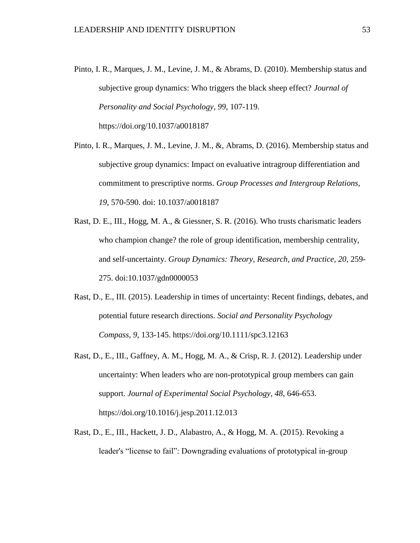- Pinto, I. R., Marques, J. M., Levine, J. M., & Abrams, D. (2010). Membership status and subjective group dynamics: Who triggers the black sheep effect? *Journal of Personality and Social Psychology, 99*, 107-119. https://doi.org/10.1037/a0018187
- Pinto, I. R., Marques, J. M., Levine, J. M., &, Abrams, D. (2016). Membership status and subjective group dynamics: Impact on evaluative intragroup differentiation and commitment to prescriptive norms. *Group Processes and Intergroup Relations, 19*, 570-590. doi: 10.1037/a0018187
- Rast, D. E., III., Hogg, M. A., & Giessner, S. R. (2016). Who trusts charismatic leaders who champion change? the role of group identification, membership centrality, and self-uncertainty. *Group Dynamics: Theory, Research, and Practice, 20*, 259- 275. doi:10.1037/gdn0000053
- Rast, D., E., III. (2015). Leadership in times of uncertainty: Recent findings, debates, and potential future research directions. *Social and Personality Psychology Compass, 9*, 133-145. https://doi.org/10.1111/spc3.12163
- Rast, D., E., III., Gaffney, A. M., Hogg, M. A., & Crisp, R. J. (2012). Leadership under uncertainty: When leaders who are non-prototypical group members can gain support. *Journal of Experimental Social Psychology, 48*, 646-653. https://doi.org/10.1016/j.jesp.2011.12.013
- Rast, D., E., III., Hackett, J. D., Alabastro, A., & Hogg, M. A. (2015). Revoking a leader's "license to fail": Downgrading evaluations of prototypical in‐group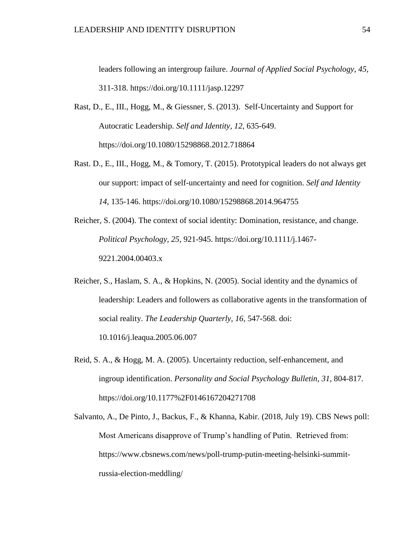leaders following an intergroup failure. *Journal of Applied Social Psychology, 45*, 311-318. https://doi.org/10.1111/jasp.12297

- Rast, D., E., III., Hogg, M., & Giessner, S. (2013). Self-Uncertainty and Support for Autocratic Leadership. *Self and Identity, 12*, 635-649. https://doi.org/10.1080/15298868.2012.718864
- Rast. D., E., III., Hogg, M., & Tomory, T. (2015). Prototypical leaders do not always get our support: impact of self-uncertainty and need for cognition. *Self and Identity 14*, 135-146. https://doi.org/10.1080/15298868.2014.964755
- Reicher, S. (2004). The context of social identity: Domination, resistance, and change. *Political Psychology, 25*, 921-945. [https://doi.org/10.1111/j.1467-](https://doi.org/10.1111/j.1467-9221.2004.00403.x) [9221.2004.00403.x](https://doi.org/10.1111/j.1467-9221.2004.00403.x)
- Reicher, S., Haslam, S. A., & Hopkins, N. (2005). Social identity and the dynamics of leadership: Leaders and followers as collaborative agents in the transformation of social reality. *The Leadership Quarterly, 16*, 547-568. doi: 10.1016/j.leaqua.2005.06.007
- Reid, S. A., & Hogg, M. A. (2005). Uncertainty reduction, self-enhancement, and ingroup identification. *Personality and Social Psychology Bulletin, 31*, 804-817. https://doi.org/10.1177%2F0146167204271708
- Salvanto, A., De Pinto, J., Backus, F., & Khanna, Kabir. (2018, July 19). CBS News poll: Most Americans disapprove of Trump's handling of Putin. Retrieved from: https://www.cbsnews.com/news/poll-trump-putin-meeting-helsinki-summitrussia-election-meddling/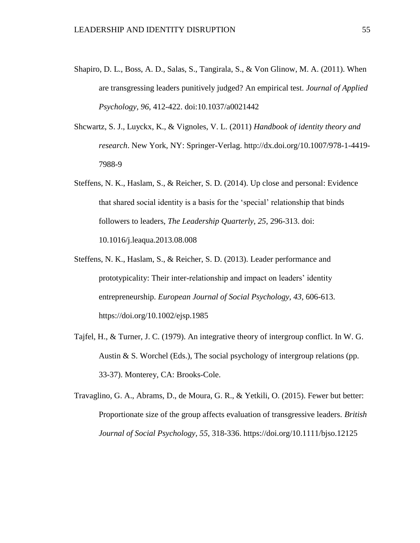- Shapiro, D. L., Boss, A. D., Salas, S., Tangirala, S., & Von Glinow, M. A. (2011). When are transgressing leaders punitively judged? An empirical test. *Journal of Applied Psychology, 96*, 412-422. doi:10.1037/a0021442
- Shcwartz, S. J., Luyckx, K., & Vignoles, V. L. (2011) *Handbook of identity theory and research*. New York, NY: Springer-Verlag. http://dx.doi.org/10.1007/978-1-4419- 7988-9
- Steffens, N. K., Haslam, S., & Reicher, S. D. (2014). Up close and personal: Evidence that shared social identity is a basis for the 'special' relationship that binds followers to leaders, *The Leadership Quarterly, 25*, 296-313. doi: 10.1016/j.leaqua.2013.08.008
- Steffens, N. K., Haslam, S., & Reicher, S. D. (2013). Leader performance and prototypicality: Their inter-relationship and impact on leaders' identity entrepreneurship. *European Journal of Social Psychology, 43,* 606-613. https://doi.org/10.1002/ejsp.1985
- Tajfel, H., & Turner, J. C. (1979). An integrative theory of intergroup conflict. In W. G. Austin  $\&$  S. Worchel (Eds.), The social psychology of intergroup relations (pp. 33-37). Monterey, CA: Brooks-Cole.
- Travaglino, G. A., Abrams, D., de Moura, G. R., & Yetkili, O. (2015). Fewer but better: Proportionate size of the group affects evaluation of transgressive leaders. *British Journal of Social Psychology, 55,* 318-336. https://doi.org/10.1111/bjso.12125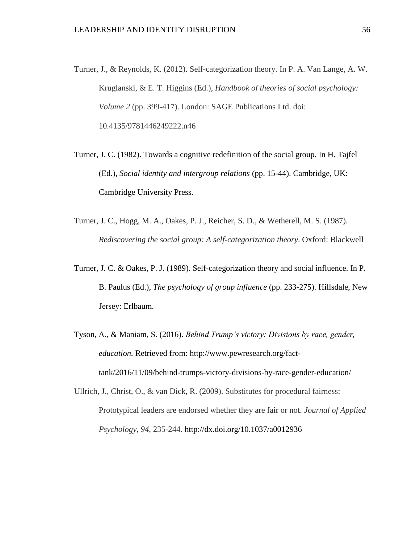- Turner, J., & Reynolds, K. (2012). Self-categorization theory. In P. A. Van Lange, A. W. Kruglanski, & E. T. Higgins (Ed.), *Handbook of theories of social psychology: Volume 2* (pp. 399-417). London: SAGE Publications Ltd. doi: 10.4135/9781446249222.n46
- Turner, J. C. (1982). Towards a cognitive redefinition of the social group. In H. Tajfel (Ed.), *Social identity and intergroup relations* (pp. 15-44). Cambridge, UK: Cambridge University Press.
- Turner, J. C., Hogg, M. A., Oakes, P. J., Reicher, S. D., & Wetherell, M. S. (1987). *Rediscovering the social group: A self-categorization theory*. Oxford: Blackwell
- Turner, J. C. & Oakes, P. J. (1989). Self-categorization theory and social influence. In P. B. Paulus (Ed.), *The psychology of group influence* (pp. 233-275). Hillsdale, New Jersey: Erlbaum.
- Tyson, A., & Maniam, S. (2016). *Behind Trump's victory: Divisions by race, gender, education.* Retrieved from: http://www.pewresearch.org/facttank/2016/11/09/behind-trumps-victory-divisions-by-race-gender-education/
- Ullrich, J., Christ, O., & van Dick, R. (2009). Substitutes for procedural fairness: Prototypical leaders are endorsed whether they are fair or not. *Journal of Applied Psychology, 94*, 235-244. http://dx.doi.org/10.1037/a0012936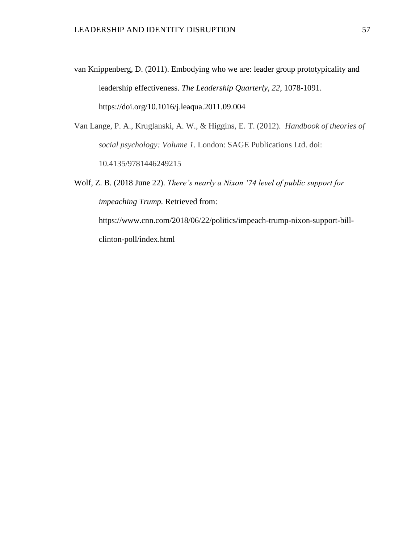- van Knippenberg, D. (2011). Embodying who we are: leader group prototypicality and leadership effectiveness. *The Leadership Quarterly, 22*, 1078-1091. https://doi.org/10.1016/j.leaqua.2011.09.004
- Van Lange, P. A., Kruglanski, A. W., & Higgins, E. T. (2012). *Handbook of theories of social psychology: Volume 1*. London: SAGE Publications Ltd. doi: 10.4135/9781446249215
- Wolf, Z. B. (2018 June 22). *There's nearly a Nixon '74 level of public support for impeaching Trump.* Retrieved from:

https://www.cnn.com/2018/06/22/politics/impeach-trump-nixon-support-billclinton-poll/index.html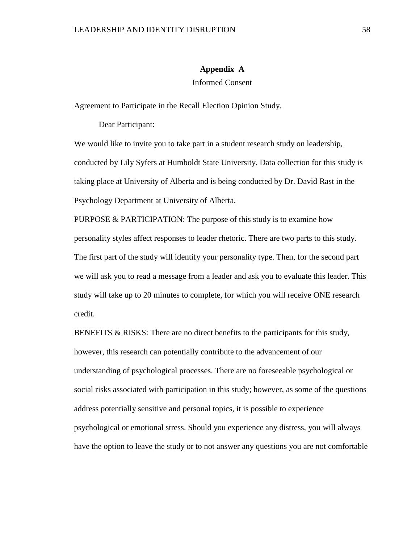### **Appendix A**

### Informed Consent

Agreement to Participate in the Recall Election Opinion Study.

Dear Participant:

We would like to invite you to take part in a student research study on leadership, conducted by Lily Syfers at Humboldt State University. Data collection for this study is taking place at University of Alberta and is being conducted by Dr. David Rast in the Psychology Department at University of Alberta.

PURPOSE & PARTICIPATION: The purpose of this study is to examine how personality styles affect responses to leader rhetoric. There are two parts to this study. The first part of the study will identify your personality type. Then, for the second part we will ask you to read a message from a leader and ask you to evaluate this leader. This study will take up to 20 minutes to complete, for which you will receive ONE research credit.

BENEFITS & RISKS: There are no direct benefits to the participants for this study, however, this research can potentially contribute to the advancement of our understanding of psychological processes. There are no foreseeable psychological or social risks associated with participation in this study; however, as some of the questions address potentially sensitive and personal topics, it is possible to experience psychological or emotional stress. Should you experience any distress, you will always have the option to leave the study or to not answer any questions you are not comfortable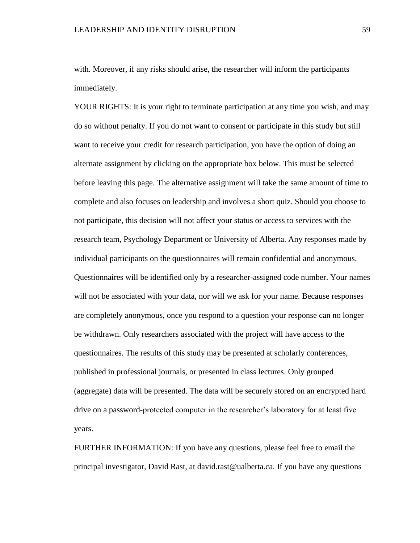with. Moreover, if any risks should arise, the researcher will inform the participants immediately.

YOUR RIGHTS: It is your right to terminate participation at any time you wish, and may do so without penalty. If you do not want to consent or participate in this study but still want to receive your credit for research participation, you have the option of doing an alternate assignment by clicking on the appropriate box below. This must be selected before leaving this page. The alternative assignment will take the same amount of time to complete and also focuses on leadership and involves a short quiz. Should you choose to not participate, this decision will not affect your status or access to services with the research team, Psychology Department or University of Alberta. Any responses made by individual participants on the questionnaires will remain confidential and anonymous. Questionnaires will be identified only by a researcher-assigned code number. Your names will not be associated with your data, nor will we ask for your name. Because responses are completely anonymous, once you respond to a question your response can no longer be withdrawn. Only researchers associated with the project will have access to the questionnaires. The results of this study may be presented at scholarly conferences, published in professional journals, or presented in class lectures. Only grouped (aggregate) data will be presented. The data will be securely stored on an encrypted hard drive on a password-protected computer in the researcher's laboratory for at least five years.

FURTHER INFORMATION: If you have any questions, please feel free to email the principal investigator, David Rast, at david.rast@ualberta.ca. If you have any questions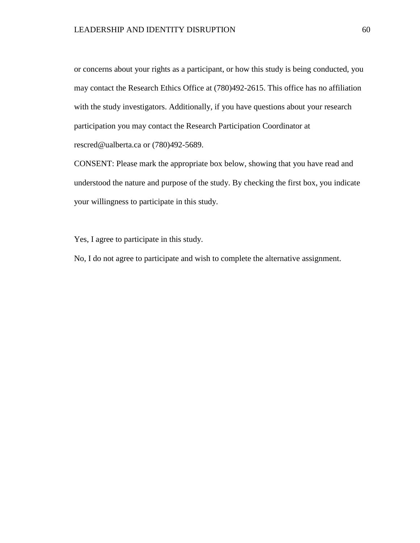or concerns about your rights as a participant, or how this study is being conducted, you may contact the Research Ethics Office at (780)492-2615. This office has no affiliation with the study investigators. Additionally, if you have questions about your research participation you may contact the Research Participation Coordinator at rescred@ualberta.ca or (780)492-5689.

CONSENT: Please mark the appropriate box below, showing that you have read and understood the nature and purpose of the study. By checking the first box, you indicate your willingness to participate in this study.

Yes, I agree to participate in this study.

No, I do not agree to participate and wish to complete the alternative assignment.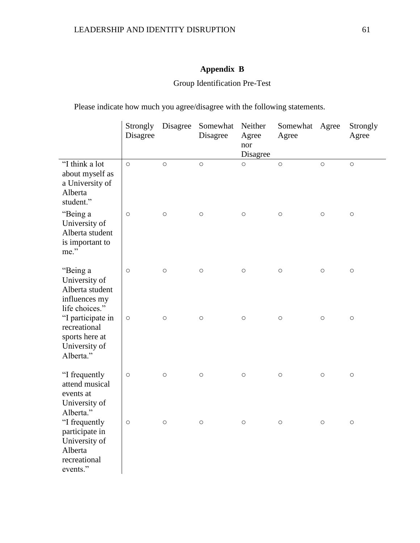# **Appendix B**

## Group Identification Pre-Test

Please indicate how much you agree/disagree with the following statements.

|                                                                                         | Strongly<br>Disagree | Disagree   | Somewhat<br>Disagree | Neither<br>Agree<br>nor<br>Disagree | Somewhat<br>Agree | Agree      | Strongly<br>Agree |
|-----------------------------------------------------------------------------------------|----------------------|------------|----------------------|-------------------------------------|-------------------|------------|-------------------|
| "I think a lot<br>about myself as<br>a University of<br>Alberta<br>student."            | $\circ$              | $\circ$    | $\circ$              | $\circ$                             | $\circ$           | $\circ$    | $\circ$           |
| "Being a<br>University of<br>Alberta student<br>is important to<br>me."                 | $\bigcirc$           | $\circ$    | $\circ$              | $\circ$                             | $\circ$           | $\bigcirc$ | $\circ$           |
| "Being a<br>University of<br>Alberta student<br>influences my<br>life choices."         | $\circ$              | $\bigcirc$ | $\bigcirc$           | $\bigcirc$                          | $\bigcirc$        | $\bigcirc$ | $\bigcirc$        |
| "I participate in<br>recreational<br>sports here at<br>University of<br>Alberta."       | $\bigcirc$           | $\circ$    | $\circ$              | $\circ$                             | $\circ$           | $\circ$    | $\bigcirc$        |
| "I frequently<br>attend musical<br>events at<br>University of<br>Alberta."              | $\bigcirc$           | $\bigcirc$ | $\bigcirc$           | $\bigcirc$                          | $\bigcirc$        | $\bigcirc$ | $\bigcirc$        |
| "I frequently<br>participate in<br>University of<br>Alberta<br>recreational<br>events." | $\bigcirc$           | $\circ$    | $\circ$              | $\circ$                             | $\bigcirc$        | $\bigcirc$ | $\bigcirc$        |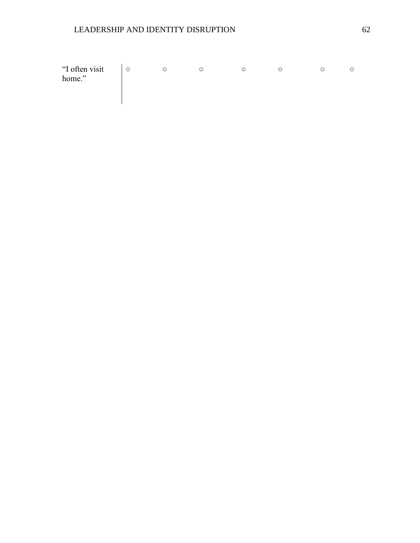| "I often visit | $\overline{\phantom{0}}$ |  |  |  |
|----------------|--------------------------|--|--|--|
| home."         |                          |  |  |  |
|                |                          |  |  |  |
|                |                          |  |  |  |
|                |                          |  |  |  |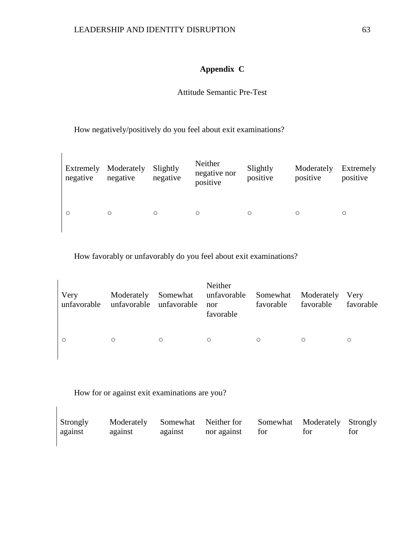# **Appendix C**

## Attitude Semantic Pre-Test

How negatively/positively do you feel about exit examinations?

| Extremely<br>negative | Moderately<br>negative | Slightly<br>negative | Neither<br>negative nor<br>positive | Slightly<br>positive | Moderately<br>positive | Extremely<br>positive |
|-----------------------|------------------------|----------------------|-------------------------------------|----------------------|------------------------|-----------------------|
| $\circ$               | Ο                      | Ο                    | Ο                                   |                      |                        |                       |

How favorably or unfavorably do you feel about exit examinations?

| Very<br>unfavorable | Moderately | unfavorable unfavorable nor | Neither<br>Somewhat unfavorable Somewhat<br>favorable | favorable | Moderately Very<br>favorable | favorable |
|---------------------|------------|-----------------------------|-------------------------------------------------------|-----------|------------------------------|-----------|
|                     | $\circ$    | O                           | $\circ$                                               | $\circ$   | $\circ$                      | O         |

How for or against exit examinations are you?

| Strongly | Moderately | Somewhat Neither for |             |     | Somewhat Moderately Strongly |  |
|----------|------------|----------------------|-------------|-----|------------------------------|--|
| against  | against    | against              | nor against | for | for                          |  |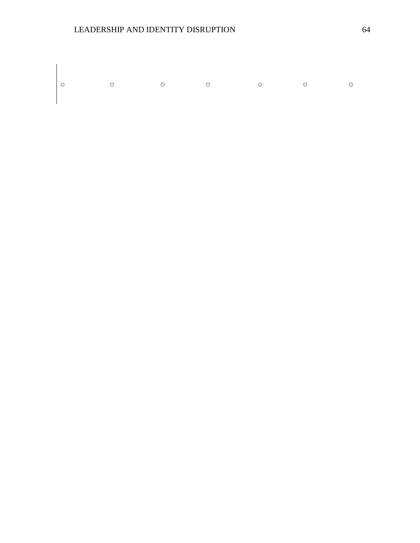○ ○ ○ ○ ○ ○ ○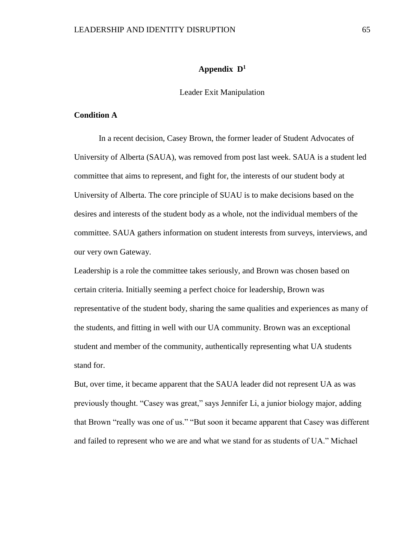### **Appendix D<sup>1</sup>**

### Leader Exit Manipulation

### **Condition A**

In a recent decision, Casey Brown, the former leader of Student Advocates of University of Alberta (SAUA), was removed from post last week. SAUA is a student led committee that aims to represent, and fight for, the interests of our student body at University of Alberta. The core principle of SUAU is to make decisions based on the desires and interests of the student body as a whole, not the individual members of the committee. SAUA gathers information on student interests from surveys, interviews, and our very own Gateway.

Leadership is a role the committee takes seriously, and Brown was chosen based on certain criteria. Initially seeming a perfect choice for leadership, Brown was representative of the student body, sharing the same qualities and experiences as many of the students, and fitting in well with our UA community. Brown was an exceptional student and member of the community, authentically representing what UA students stand for.

But, over time, it became apparent that the SAUA leader did not represent UA as was previously thought. "Casey was great," says Jennifer Li, a junior biology major, adding that Brown "really was one of us." "But soon it became apparent that Casey was different and failed to represent who we are and what we stand for as students of UA." Michael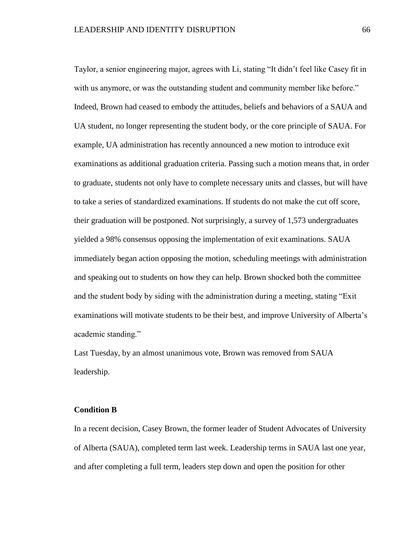Taylor, a senior engineering major, agrees with Li, stating "It didn't feel like Casey fit in with us anymore, or was the outstanding student and community member like before." Indeed, Brown had ceased to embody the attitudes, beliefs and behaviors of a SAUA and UA student, no longer representing the student body, or the core principle of SAUA. For example, UA administration has recently announced a new motion to introduce exit examinations as additional graduation criteria. Passing such a motion means that, in order to graduate, students not only have to complete necessary units and classes, but will have to take a series of standardized examinations. If students do not make the cut off score, their graduation will be postponed. Not surprisingly, a survey of 1,573 undergraduates yielded a 98% consensus opposing the implementation of exit examinations. SAUA immediately began action opposing the motion, scheduling meetings with administration and speaking out to students on how they can help. Brown shocked both the committee and the student body by siding with the administration during a meeting, stating "Exit examinations will motivate students to be their best, and improve University of Alberta's academic standing."

Last Tuesday, by an almost unanimous vote, Brown was removed from SAUA leadership.

### **Condition B**

In a recent decision, Casey Brown, the former leader of Student Advocates of University of Alberta (SAUA), completed term last week. Leadership terms in SAUA last one year, and after completing a full term, leaders step down and open the position for other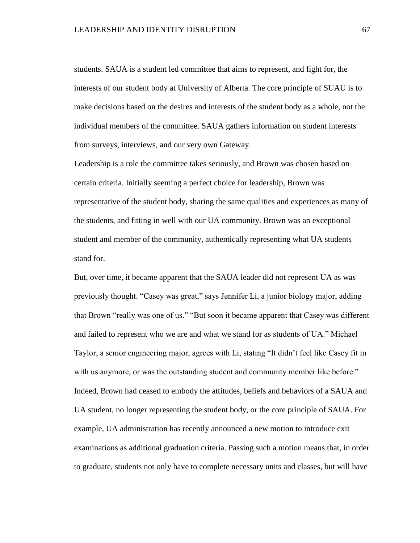students. SAUA is a student led committee that aims to represent, and fight for, the interests of our student body at University of Alberta. The core principle of SUAU is to make decisions based on the desires and interests of the student body as a whole, not the individual members of the committee. SAUA gathers information on student interests from surveys, interviews, and our very own Gateway.

Leadership is a role the committee takes seriously, and Brown was chosen based on certain criteria. Initially seeming a perfect choice for leadership, Brown was representative of the student body, sharing the same qualities and experiences as many of the students, and fitting in well with our UA community. Brown was an exceptional student and member of the community, authentically representing what UA students stand for.

But, over time, it became apparent that the SAUA leader did not represent UA as was previously thought. "Casey was great," says Jennifer Li, a junior biology major, adding that Brown "really was one of us." "But soon it became apparent that Casey was different and failed to represent who we are and what we stand for as students of UA." Michael Taylor, a senior engineering major, agrees with Li, stating "It didn't feel like Casey fit in with us anymore, or was the outstanding student and community member like before." Indeed, Brown had ceased to embody the attitudes, beliefs and behaviors of a SAUA and UA student, no longer representing the student body, or the core principle of SAUA. For example, UA administration has recently announced a new motion to introduce exit examinations as additional graduation criteria. Passing such a motion means that, in order to graduate, students not only have to complete necessary units and classes, but will have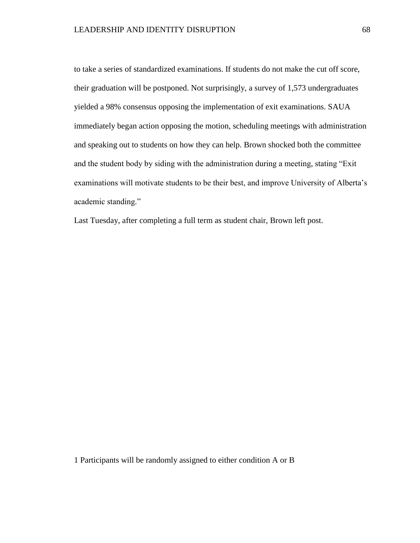to take a series of standardized examinations. If students do not make the cut off score, their graduation will be postponed. Not surprisingly, a survey of 1,573 undergraduates yielded a 98% consensus opposing the implementation of exit examinations. SAUA immediately began action opposing the motion, scheduling meetings with administration and speaking out to students on how they can help. Brown shocked both the committee and the student body by siding with the administration during a meeting, stating "Exit examinations will motivate students to be their best, and improve University of Alberta's academic standing."

Last Tuesday, after completing a full term as student chair, Brown left post.

1 Participants will be randomly assigned to either condition A or B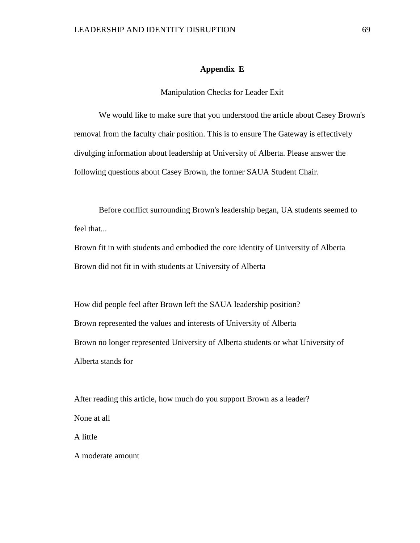### **Appendix E**

Manipulation Checks for Leader Exit

We would like to make sure that you understood the article about Casey Brown's removal from the faculty chair position. This is to ensure The Gateway is effectively divulging information about leadership at University of Alberta. Please answer the following questions about Casey Brown, the former SAUA Student Chair.

Before conflict surrounding Brown's leadership began, UA students seemed to feel that...

Brown fit in with students and embodied the core identity of University of Alberta Brown did not fit in with students at University of Alberta

How did people feel after Brown left the SAUA leadership position? Brown represented the values and interests of University of Alberta Brown no longer represented University of Alberta students or what University of Alberta stands for

After reading this article, how much do you support Brown as a leader? None at all A little

A moderate amount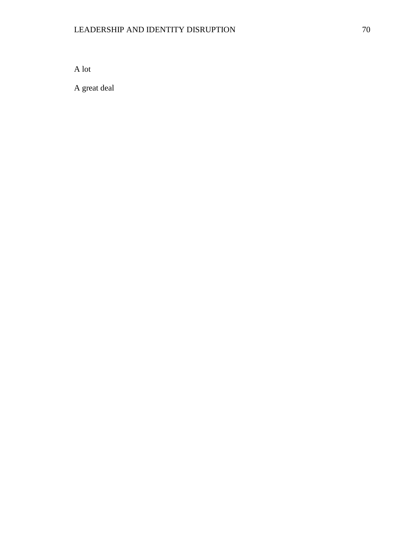A lot

A great deal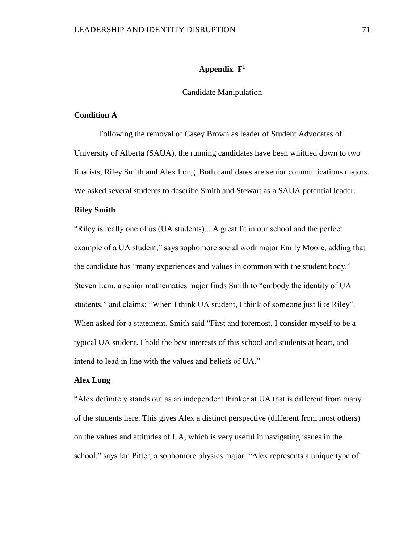### **Appendix F 1**

### Candidate Manipulation

### **Condition A**

Following the removal of Casey Brown as leader of Student Advocates of University of Alberta (SAUA), the running candidates have been whittled down to two finalists, Riley Smith and Alex Long. Both candidates are senior communications majors. We asked several students to describe Smith and Stewart as a SAUA potential leader.

#### **Riley Smith**

"Riley is really one of us (UA students)... A great fit in our school and the perfect example of a UA student," says sophomore social work major Emily Moore, adding that the candidate has "many experiences and values in common with the student body." Steven Lam, a senior mathematics major finds Smith to "embody the identity of UA students," and claims: "When I think UA student, I think of someone just like Riley". When asked for a statement, Smith said "First and foremost, I consider myself to be a typical UA student. I hold the best interests of this school and students at heart, and intend to lead in line with the values and beliefs of UA."

### **Alex Long**

"Alex definitely stands out as an independent thinker at UA that is different from many of the students here. This gives Alex a distinct perspective (different from most others) on the values and attitudes of UA, which is very useful in navigating issues in the school," says Ian Pitter, a sophomore physics major. "Alex represents a unique type of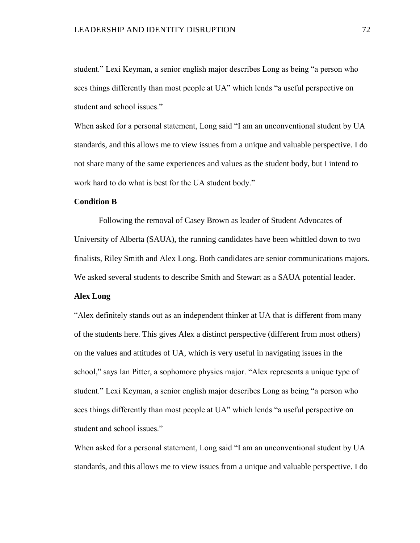student." Lexi Keyman, a senior english major describes Long as being "a person who sees things differently than most people at UA" which lends "a useful perspective on student and school issues."

When asked for a personal statement, Long said "I am an unconventional student by UA standards, and this allows me to view issues from a unique and valuable perspective. I do not share many of the same experiences and values as the student body, but I intend to work hard to do what is best for the UA student body."

#### **Condition B**

Following the removal of Casey Brown as leader of Student Advocates of University of Alberta (SAUA), the running candidates have been whittled down to two finalists, Riley Smith and Alex Long. Both candidates are senior communications majors. We asked several students to describe Smith and Stewart as a SAUA potential leader.

### **Alex Long**

"Alex definitely stands out as an independent thinker at UA that is different from many of the students here. This gives Alex a distinct perspective (different from most others) on the values and attitudes of UA, which is very useful in navigating issues in the school," says Ian Pitter, a sophomore physics major. "Alex represents a unique type of student." Lexi Keyman, a senior english major describes Long as being "a person who sees things differently than most people at UA" which lends "a useful perspective on student and school issues."

When asked for a personal statement, Long said "I am an unconventional student by UA standards, and this allows me to view issues from a unique and valuable perspective. I do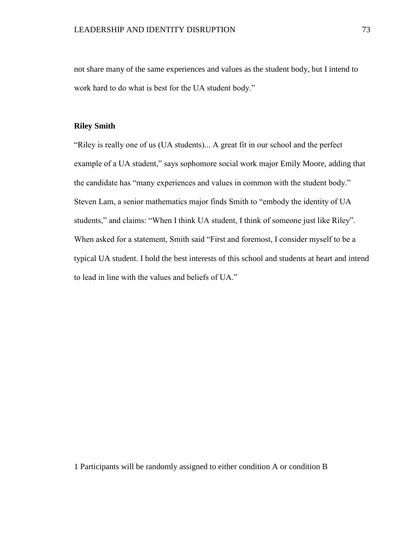not share many of the same experiences and values as the student body, but I intend to work hard to do what is best for the UA student body."

#### **Riley Smith**

"Riley is really one of us (UA students)... A great fit in our school and the perfect example of a UA student," says sophomore social work major Emily Moore, adding that the candidate has "many experiences and values in common with the student body." Steven Lam, a senior mathematics major finds Smith to "embody the identity of UA students," and claims: "When I think UA student, I think of someone just like Riley". When asked for a statement, Smith said "First and foremost, I consider myself to be a typical UA student. I hold the best interests of this school and students at heart and intend to lead in line with the values and beliefs of UA."

1 Participants will be randomly assigned to either condition A or condition B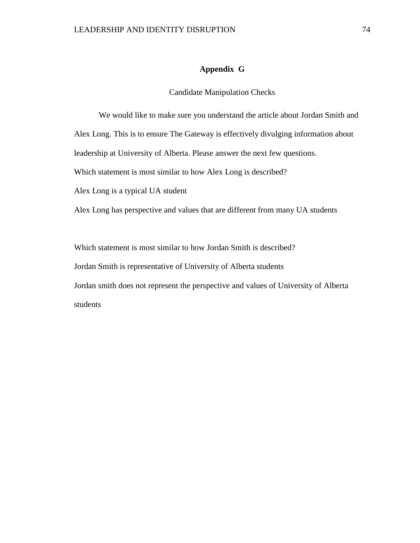### **Appendix G**

### Candidate Manipulation Checks

We would like to make sure you understand the article about Jordan Smith and Alex Long. This is to ensure The Gateway is effectively divulging information about leadership at University of Alberta. Please answer the next few questions. Which statement is most similar to how Alex Long is described? Alex Long is a typical UA student Alex Long has perspective and values that are different from many UA students Which statement is most similar to how Jordan Smith is described? Jordan Smith is representative of University of Alberta students Jordan smith does not represent the perspective and values of University of Alberta

students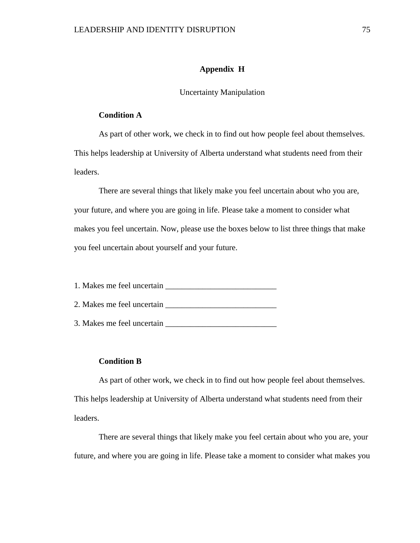### **Appendix H**

### Uncertainty Manipulation

### **Condition A**

As part of other work, we check in to find out how people feel about themselves. This helps leadership at University of Alberta understand what students need from their leaders.

There are several things that likely make you feel uncertain about who you are, your future, and where you are going in life. Please take a moment to consider what makes you feel uncertain. Now, please use the boxes below to list three things that make you feel uncertain about yourself and your future.

1. Makes me feel uncertain \_\_\_\_\_\_\_\_\_\_\_\_\_\_\_\_\_\_\_\_\_\_\_\_\_\_\_

2. Makes me feel uncertain

3. Makes me feel uncertain \_\_\_\_\_\_\_\_\_\_\_\_\_\_\_\_\_\_\_\_\_\_\_\_\_\_\_

#### **Condition B**

As part of other work, we check in to find out how people feel about themselves. This helps leadership at University of Alberta understand what students need from their leaders.

There are several things that likely make you feel certain about who you are, your future, and where you are going in life. Please take a moment to consider what makes you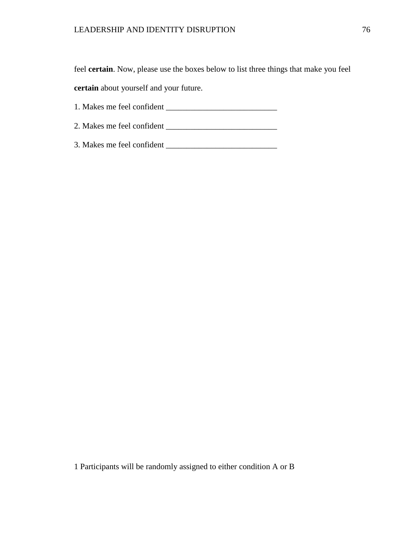### LEADERSHIP AND IDENTITY DISRUPTION 76

feel **certain**. Now, please use the boxes below to list three things that make you feel

**certain** about yourself and your future.

| 1. Makes me feel confident |  |
|----------------------------|--|
|                            |  |
| 2. Makes me feel confident |  |

3. Makes me feel confident \_\_\_\_\_\_\_\_\_\_\_\_\_\_\_\_\_\_\_\_\_\_\_\_\_\_\_

1 Participants will be randomly assigned to either condition A or B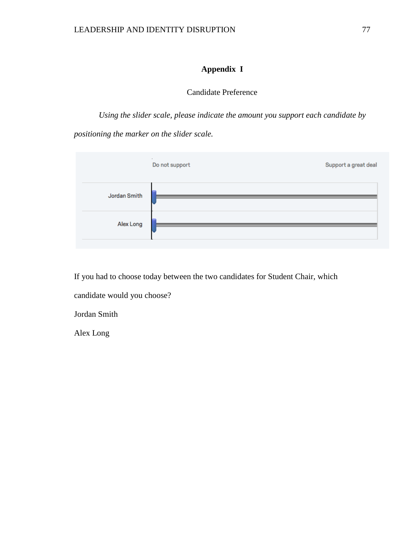### **Appendix I**

### Candidate Preference

*Using the slider scale, please indicate the amount you support each candidate by* 

*positioning the marker on the slider scale.* 

|              | $\cdot$<br>Do not support | Support a great deal |
|--------------|---------------------------|----------------------|
| Jordan Smith |                           |                      |
| Alex Long    |                           |                      |

If you had to choose today between the two candidates for Student Chair, which

candidate would you choose?

Jordan Smith

Alex Long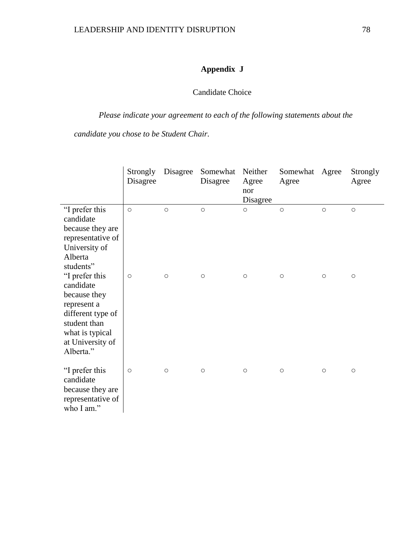## **Appendix J**

## Candidate Choice

*Please indicate your agreement to each of the following statements about the* 

*candidate you chose to be Student Chair.*

|                                                                                                                                                     | Strongly<br>Disagree | Disagree   | Somewhat<br>Disagree | Neither<br>Agree<br>nor<br>Disagree | Somewhat<br>Agree | Agree      | Strongly<br>Agree |
|-----------------------------------------------------------------------------------------------------------------------------------------------------|----------------------|------------|----------------------|-------------------------------------|-------------------|------------|-------------------|
| "I prefer this<br>candidate<br>because they are<br>representative of<br>University of<br>Alberta<br>students"                                       | $\circ$              | $\circ$    | $\circ$              | $\circ$                             | $\circ$           | $\circ$    | $\circ$           |
| "I prefer this<br>candidate<br>because they<br>represent a<br>different type of<br>student than<br>what is typical<br>at University of<br>Alberta." | $\circ$              | $\circ$    | $\circ$              | $\circ$                             | $\circ$           | $\circ$    | $\circ$           |
| "I prefer this<br>candidate<br>because they are<br>representative of<br>who I am."                                                                  | $\circ$              | $\bigcirc$ | $\circlearrowright$  | $\bigcirc$                          | $\bigcirc$        | $\bigcirc$ | $\bigcirc$        |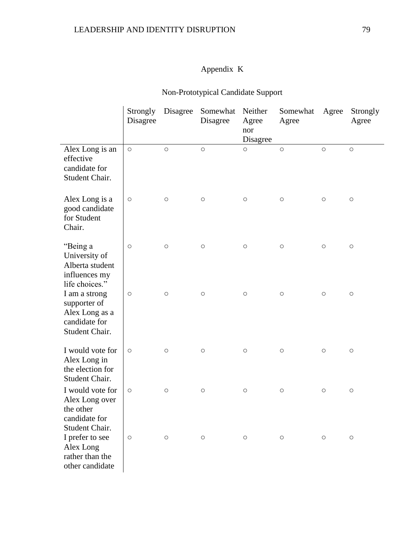# Appendix K

## Non-Prototypical Candidate Support

|                                                                                      | Strongly<br>Disagree | Disagree   | Somewhat<br>Disagree | Neither<br>Agree<br>nor<br>Disagree | Somewhat<br>Agree | Agree      | Strongly<br>Agree |
|--------------------------------------------------------------------------------------|----------------------|------------|----------------------|-------------------------------------|-------------------|------------|-------------------|
| Alex Long is an<br>effective<br>candidate for<br>Student Chair.                      | $\circ$              | $\bigcirc$ | $\circ$              | $\circlearrowright$                 | $\bigcirc$        | $\bigcirc$ | $\bigcirc$        |
| Alex Long is a<br>good candidate<br>for Student<br>Chair.                            | $\circ$              | $\bigcirc$ | $\bigcirc$           | $\bigcirc$                          | $\bigcirc$        | $\bigcirc$ | $\bigcirc$        |
| "Being a<br>University of<br>Alberta student<br>influences my<br>life choices."      | $\circ$              | $\bigcirc$ | $\bigcirc$           | $\bigcirc$                          | $\bigcirc$        | $\bigcirc$ | $\bigcirc$        |
| I am a strong<br>supporter of<br>Alex Long as a<br>candidate for<br>Student Chair.   | $\circ$              | $\bigcirc$ | $\circ$              | $\circ$                             | $\bigcirc$        | $\bigcirc$ | $\bigcirc$        |
| I would vote for<br>Alex Long in<br>the election for<br>Student Chair.               | $\circ$              | $\bigcirc$ | $\bigcirc$           | $\bigcirc$                          | $\bigcirc$        | $\bigcirc$ | $\bigcirc$        |
| I would vote for<br>Alex Long over<br>the other<br>candidate for                     | $\circ$              | $\bigcirc$ | $\bigcirc$           | $\bigcirc$                          | $\bigcirc$        | $\bigcirc$ | $\bigcirc$        |
| Student Chair.<br>I prefer to see<br>Alex Long<br>rather than the<br>other candidate | $\bigcirc$           | $\bigcirc$ | $\bigcirc$           | $\bigcirc$                          | $\bigcirc$        | $\bigcirc$ | $\bigcirc$        |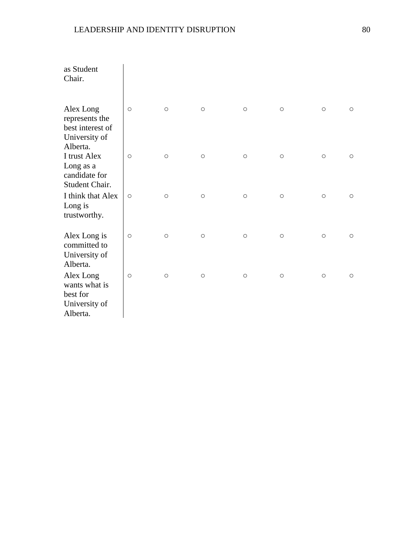| as Student<br>Chair.                                                         |            |            |            |            |            |         |            |
|------------------------------------------------------------------------------|------------|------------|------------|------------|------------|---------|------------|
| Alex Long<br>represents the<br>best interest of<br>University of<br>Alberta. | $\circ$    | $\bigcirc$ | $\bigcirc$ | $\circ$    | $\bigcirc$ | $\circ$ | $\circ$    |
| I trust Alex<br>Long as a<br>candidate for<br>Student Chair.                 | $\bigcirc$ | $\bigcirc$ | $\bigcirc$ | $\bigcirc$ | $\bigcirc$ | $\circ$ | $\bigcirc$ |
| I think that Alex<br>Long is<br>trustworthy.                                 | $\bigcirc$ | $\circ$    | $\bigcirc$ | $\bigcirc$ | $\bigcirc$ | $\circ$ | $\circ$    |
| Alex Long is<br>committed to<br>University of<br>Alberta.                    | $\circ$    | $\circ$    | $\bigcirc$ | $\circ$    | $\bigcirc$ | $\circ$ | $\bigcirc$ |
| Alex Long<br>wants what is<br>best for<br>University of<br>Alberta.          | $\bigcirc$ | $\bigcirc$ | $\bigcirc$ | $\bigcirc$ | $\bigcirc$ | $\circ$ | $\circ$    |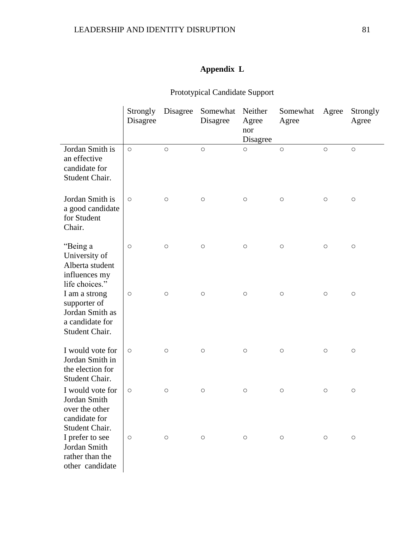# **Appendix L**

| <b>Prototypical Candidate Support</b> |  |  |
|---------------------------------------|--|--|
|---------------------------------------|--|--|

|                                                                                         | Strongly<br>Disagree | Disagree   | Somewhat<br>Disagree | Neither<br>Agree<br>nor<br>Disagree | Somewhat<br>Agree   | Agree      | Strongly<br>Agree |
|-----------------------------------------------------------------------------------------|----------------------|------------|----------------------|-------------------------------------|---------------------|------------|-------------------|
| Jordan Smith is<br>an effective<br>candidate for<br>Student Chair.                      | $\bigcirc$           | $\circ$    | $\circ$              | $\bigcirc$                          | $\circlearrowright$ | $\bigcirc$ | $\bigcirc$        |
| Jordan Smith is<br>a good candidate<br>for Student<br>Chair.                            | $\circ$              | $\circ$    | $\bigcirc$           | $\bigcirc$                          | $\bigcirc$          | $\bigcirc$ | $\bigcirc$        |
| "Being a<br>University of<br>Alberta student<br>influences my<br>life choices."         | $\circ$              | $\circ$    | $\circ$              | $\bigcirc$                          | $\circ$             | $\bigcirc$ | $\circ$           |
| I am a strong<br>supporter of<br>Jordan Smith as<br>a candidate for<br>Student Chair.   | $\bigcirc$           | $\circ$    | $\bigcirc$           | $\bigcirc$                          | $\bigcirc$          | $\bigcirc$ | $\bigcirc$        |
| I would vote for<br>Jordan Smith in<br>the election for<br>Student Chair.               | $\circ$              | $\bigcirc$ | $\bigcirc$           | $\bigcirc$                          | $\bigcirc$          | $\bigcirc$ | $\bigcirc$        |
| I would vote for<br>Jordan Smith<br>over the other<br>candidate for                     | $\circ$              | $\bigcirc$ | $\bigcirc$           | $\bigcirc$                          | $\bigcirc$          | $\bigcirc$ | $\bigcirc$        |
| Student Chair.<br>I prefer to see<br>Jordan Smith<br>rather than the<br>other candidate | $\bigcirc$           | $\circ$    | $\circ$              | $\bigcirc$                          | $\bigcirc$          | $\bigcirc$ | $\bigcirc$        |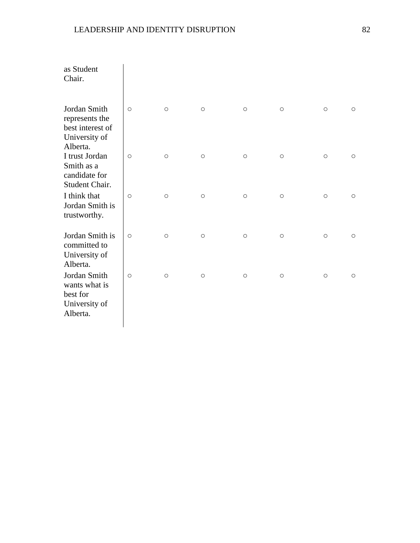| as Student<br>Chair.                                                            |         |            |            |                     |            |            |            |
|---------------------------------------------------------------------------------|---------|------------|------------|---------------------|------------|------------|------------|
| Jordan Smith<br>represents the<br>best interest of<br>University of<br>Alberta. | $\circ$ | $\bigcirc$ | $\bigcirc$ | $\circlearrowright$ | $\bigcirc$ | $\bigcirc$ | $\circ$    |
| I trust Jordan<br>Smith as a<br>candidate for<br>Student Chair.                 | $\circ$ | $\circ$    | $\circ$    | $\bigcirc$          | $\bigcirc$ | $\circ$    | $\bigcirc$ |
| I think that<br>Jordan Smith is<br>trustworthy.                                 | $\circ$ | $\bigcirc$ | $\bigcirc$ | $\circlearrowright$ | $\bigcirc$ | $\circ$    | $\circ$    |
| Jordan Smith is<br>committed to<br>University of<br>Alberta.                    | $\circ$ | $\bigcirc$ | $\bigcirc$ | $\circlearrowright$ | $\bigcirc$ | $\bigcirc$ | $\bigcirc$ |
| Jordan Smith<br>wants what is<br>best for<br>University of<br>Alberta.          | $\circ$ | $\circ$    | $\bigcirc$ | $\bigcirc$          | $\bigcirc$ | $\bigcirc$ | $\circ$    |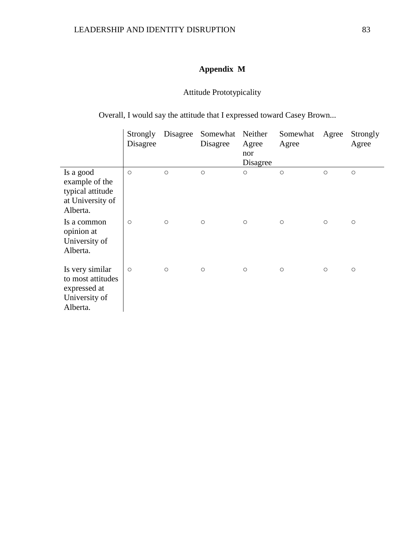## **Appendix M**

## Attitude Prototypicality

## Overall, I would say the attitude that I expressed toward Casey Brown...

|                                                                                   | Strongly<br>Disagree | Disagree   | Somewhat<br>Disagree | Neither<br>Agree<br>nor<br>Disagree | Somewhat<br>Agree | Agree   | Strongly<br>Agree |
|-----------------------------------------------------------------------------------|----------------------|------------|----------------------|-------------------------------------|-------------------|---------|-------------------|
| Is a good<br>example of the<br>typical attitude<br>at University of<br>Alberta.   | $\circ$              | $\bigcirc$ | $\circ$              | $\circ$                             | $\circ$           | $\circ$ | $\circ$           |
| Is a common<br>opinion at<br>University of<br>Alberta.                            | $\circ$              | $\circ$    | $\circ$              | $\circ$                             | $\circ$           | $\circ$ | $\circ$           |
| Is very similar<br>to most attitudes<br>expressed at<br>University of<br>Alberta. | $\circ$              | $\circ$    | $\circ$              | $\circ$                             | $\circ$           | $\circ$ | $\circ$           |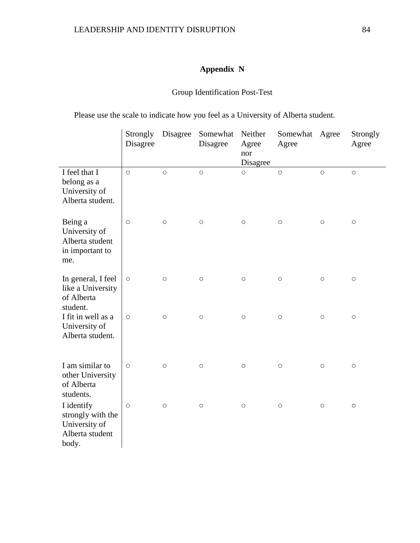## **Appendix N**

## Group Identification Post-Test

Please use the scale to indicate how you feel as a University of Alberta student.

|                                                                              | Strongly<br>Disagree | Disagree   | Somewhat<br>Disagree | Neither<br>Agree<br>nor<br>Disagree | Somewhat<br>Agree | Agree      | Strongly<br>Agree |
|------------------------------------------------------------------------------|----------------------|------------|----------------------|-------------------------------------|-------------------|------------|-------------------|
| I feel that I<br>belong as a<br>University of<br>Alberta student.            | $\circ$              | $\circ$    | $\circ$              | $\bigcirc$                          | $\circ$           | $\circ$    | $\bigcirc$        |
| Being a<br>University of<br>Alberta student<br>in important to<br>me.        | $\bigcirc$           | $\circ$    | $\circ$              | $\bigcirc$                          | $\circ$           | $\bigcirc$ | $\bigcirc$        |
| In general, I feel<br>like a University<br>of Alberta<br>student.            | $\bigcirc$           | $\bigcirc$ | $\circ$              | $\bigcirc$                          | $\bigcirc$        | $\bigcirc$ | $\bigcirc$        |
| I fit in well as a<br>University of<br>Alberta student.                      | $\bigcirc$           | $\bigcirc$ | $\circ$              | $\bigcirc$                          | $\circ$           | $\bigcirc$ | $\bigcirc$        |
| I am similar to<br>other University<br>of Alberta<br>students.               | $\bigcirc$           | $\bigcirc$ | $\circ$              | $\bigcirc$                          | $\circ$           | $\bigcirc$ | $\bigcirc$        |
| I identify<br>strongly with the<br>University of<br>Alberta student<br>body. | $\bigcirc$           | $\bigcirc$ | $\circ$              | $\bigcirc$                          | $\circ$           | $\bigcirc$ | $\bigcirc$        |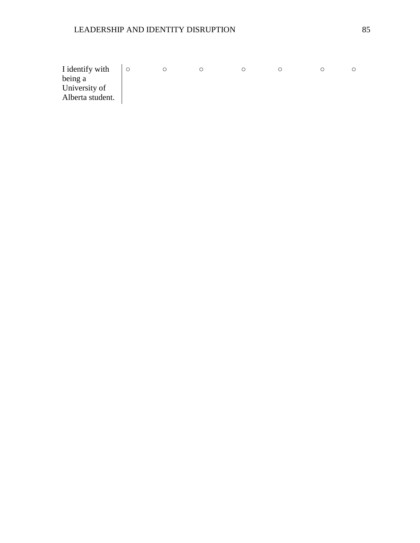| I identify with  |  |  |  |  |
|------------------|--|--|--|--|
| being a          |  |  |  |  |
| University of    |  |  |  |  |
| Alberta student. |  |  |  |  |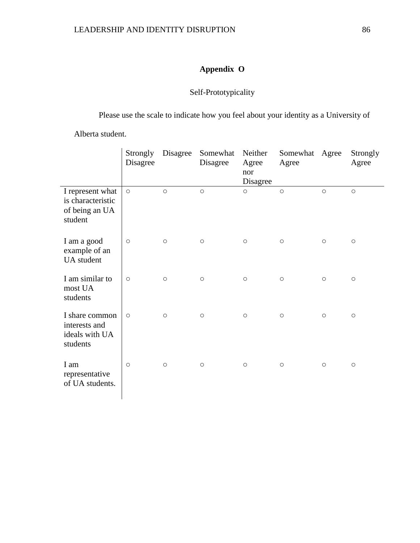## **Appendix O**

## Self-Prototypicality

Please use the scale to indicate how you feel about your identity as a University of

Alberta student.

|                                                                    | Strongly<br>Disagree | Disagree   | Somewhat<br>Disagree | Neither<br>Agree<br>nor<br>Disagree | Somewhat<br>Agree | Agree      | Strongly<br>Agree |
|--------------------------------------------------------------------|----------------------|------------|----------------------|-------------------------------------|-------------------|------------|-------------------|
| I represent what<br>is characteristic<br>of being an UA<br>student | $\circlearrowright$  | $\circ$    | $\circ$              | $\bigcirc$                          | $\circ$           | $\circ$    | $\circ$           |
| I am a good<br>example of an<br>UA student                         | $\circ$              | $\bigcirc$ | $\bigcirc$           | $\bigcirc$                          | $\bigcirc$        | $\bigcirc$ | $\bigcirc$        |
| I am similar to<br>most UA<br>students                             | $\circ$              | $\circ$    | $\bigcirc$           | $\bigcirc$                          | $\bigcirc$        | $\bigcirc$ | $\bigcirc$        |
| I share common<br>interests and<br>ideals with UA<br>students      | $\circ$              | $\circ$    | $\bigcirc$           | $\bigcirc$                          | $\bigcirc$        | $\bigcirc$ | $\bigcirc$        |
| I am<br>representative<br>of UA students.                          | $\circ$              | $\bigcirc$ | $\circ$              | $\bigcirc$                          | $\bigcirc$        | $\circ$    | $\bigcirc$        |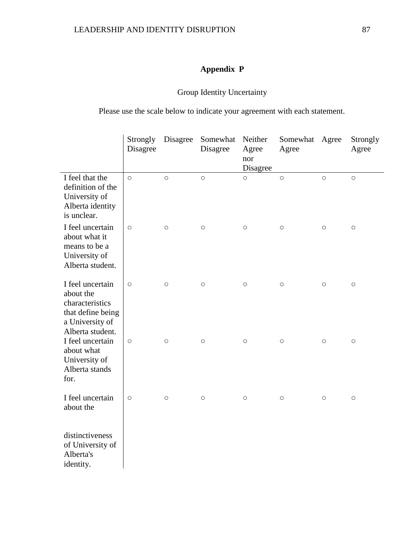## **Appendix P**

## Group Identity Uncertainty

Please use the scale below to indicate your agreement with each statement.

|                                                                                                              | Strongly<br>Disagree | Disagree   | Somewhat<br>Disagree | Neither<br>Agree<br>nor<br>Disagree | Somewhat Agree<br>Agree |            | Strongly<br>Agree |
|--------------------------------------------------------------------------------------------------------------|----------------------|------------|----------------------|-------------------------------------|-------------------------|------------|-------------------|
| I feel that the<br>definition of the<br>University of<br>Alberta identity<br>is unclear.                     | $\circ$              | $\circ$    | $\circ$              | $\bigcirc$                          | $\circ$                 | $\circ$    | $\circ$           |
| I feel uncertain<br>about what it<br>means to be a<br>University of<br>Alberta student.                      | $\bigcirc$           | $\bigcirc$ | $\bigcirc$           | $\bigcirc$                          | $\bigcirc$              | $\bigcirc$ | $\bigcirc$        |
| I feel uncertain<br>about the<br>characteristics<br>that define being<br>a University of<br>Alberta student. | $\circ$              | $\bigcirc$ | $\bigcirc$           | $\circ$                             | $\bigcirc$              | $\bigcirc$ | $\bigcirc$        |
| I feel uncertain<br>about what<br>University of<br>Alberta stands<br>for.                                    | $\bigcirc$           | $\bigcirc$ | $\bigcirc$           | $\circ$                             | $\bigcirc$              | $\bigcirc$ | $\bigcirc$        |
| I feel uncertain<br>about the                                                                                | $\bigcirc$           | $\circ$    | $\bigcirc$           | $\bigcirc$                          | $\bigcirc$              | $\bigcirc$ | $\bigcirc$        |
| distinctiveness<br>of University of<br>Alberta's<br>identity.                                                |                      |            |                      |                                     |                         |            |                   |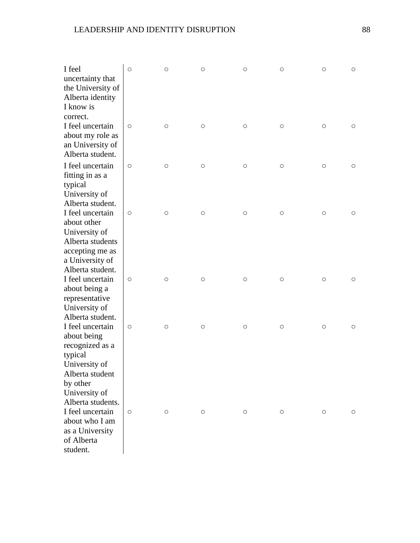| I feel                            | $\circ$    | $\circ$    | $\circ$             | $\circ$    | $\circ$    | $\circ$             | $\circ$    |
|-----------------------------------|------------|------------|---------------------|------------|------------|---------------------|------------|
| uncertainty that                  |            |            |                     |            |            |                     |            |
| the University of                 |            |            |                     |            |            |                     |            |
| Alberta identity<br>I know is     |            |            |                     |            |            |                     |            |
| correct.                          |            |            |                     |            |            |                     |            |
| I feel uncertain                  | $\circ$    | $\circ$    | $\circ$             | $\circ$    | $\circ$    | O                   | $\circ$    |
| about my role as                  |            |            |                     |            |            |                     |            |
| an University of                  |            |            |                     |            |            |                     |            |
| Alberta student.                  |            |            |                     |            |            |                     |            |
| I feel uncertain                  | $\bigcirc$ | $\bigcirc$ | $\bigcirc$          | $\bigcirc$ | $\circ$    | $\circ$             | $\bigcirc$ |
| fitting in as a                   |            |            |                     |            |            |                     |            |
| typical                           |            |            |                     |            |            |                     |            |
| University of                     |            |            |                     |            |            |                     |            |
| Alberta student.                  |            |            |                     |            |            |                     |            |
| I feel uncertain                  | $\bigcirc$ | $\circ$    | $\circ$             | $\circ$    | $\circ$    | $\circ$             | $\bigcirc$ |
| about other                       |            |            |                     |            |            |                     |            |
| University of<br>Alberta students |            |            |                     |            |            |                     |            |
| accepting me as                   |            |            |                     |            |            |                     |            |
| a University of                   |            |            |                     |            |            |                     |            |
| Alberta student.                  |            |            |                     |            |            |                     |            |
| I feel uncertain                  | $\bigcirc$ | $\circ$    | $\circ$             | $\circ$    | $\circ$    | $\circ$             | $\bigcirc$ |
| about being a                     |            |            |                     |            |            |                     |            |
| representative                    |            |            |                     |            |            |                     |            |
| University of                     |            |            |                     |            |            |                     |            |
| Alberta student.                  |            |            |                     |            |            |                     |            |
| I feel uncertain                  | $\bigcirc$ | $\bigcirc$ | $\circ$             | $\bigcirc$ | $\bigcirc$ | $\bigcirc$          | О          |
| about being                       |            |            |                     |            |            |                     |            |
| recognized as a                   |            |            |                     |            |            |                     |            |
| typical<br>University of          |            |            |                     |            |            |                     |            |
| Alberta student                   |            |            |                     |            |            |                     |            |
| by other                          |            |            |                     |            |            |                     |            |
| University of                     |            |            |                     |            |            |                     |            |
| Alberta students.                 |            |            |                     |            |            |                     |            |
| I feel uncertain                  | $\circ$    | $\bigcirc$ | $\circlearrowright$ | $\bigcirc$ | $\bigcirc$ | $\circlearrowright$ | $\circ$    |
| about who I am                    |            |            |                     |            |            |                     |            |
| as a University                   |            |            |                     |            |            |                     |            |
| of Alberta                        |            |            |                     |            |            |                     |            |
| student.                          |            |            |                     |            |            |                     |            |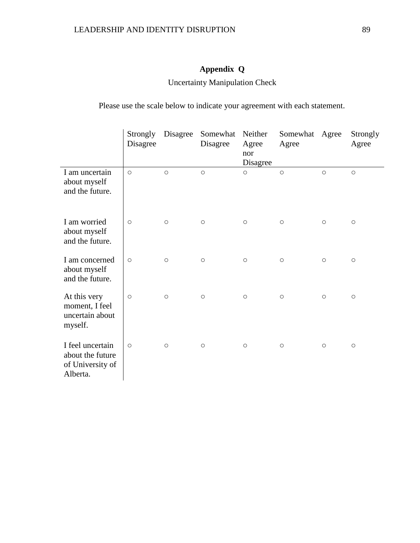## **Appendix Q**

## Uncertainty Manipulation Check

Please use the scale below to indicate your agreement with each statement.

|                                                                      | Strongly<br>Disagree | Disagree | Somewhat<br>Disagree | Neither<br>Agree<br>nor<br>Disagree | Somewhat<br>Agree | Agree      | Strongly<br>Agree   |
|----------------------------------------------------------------------|----------------------|----------|----------------------|-------------------------------------|-------------------|------------|---------------------|
| I am uncertain<br>about myself<br>and the future.                    | $\bigcirc$           | $\circ$  | $\circ$              | $\circ$                             | $\circ$           | $\circ$    | $\circ$             |
| I am worried<br>about myself<br>and the future.                      | $\circ$              | $\circ$  | $\bigcirc$           | $\bigcirc$                          | $\bigcirc$        | $\bigcirc$ | $\circlearrowright$ |
| I am concerned<br>about myself<br>and the future.                    | $\circ$              | $\circ$  | $\circ$              | $\circ$                             | $\circ$           | $\circ$    | $\circ$             |
| At this very<br>moment, I feel<br>uncertain about<br>myself.         | $\bigcirc$           | $\circ$  | $\bigcirc$           | $\circ$                             | $\bigcirc$        | $\bigcirc$ | $\circlearrowright$ |
| I feel uncertain<br>about the future<br>of University of<br>Alberta. | $\bigcirc$           | $\circ$  | $\circ$              | $\circ$                             | $\bigcirc$        | $\circ$    | $\circlearrowright$ |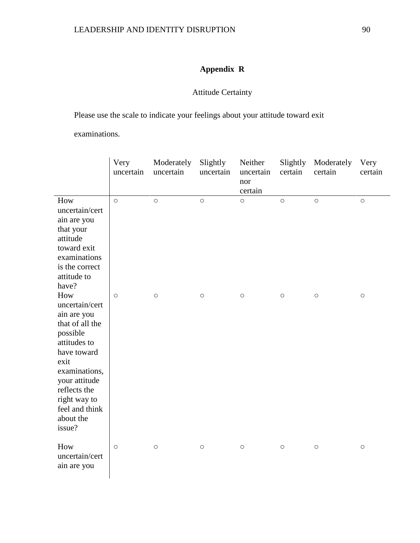## **Appendix R**

## Attitude Certainty

Please use the scale to indicate your feelings about your attitude toward exit

examinations.

|                                                                                                                                                                                                                       | Very<br>uncertain | Moderately<br>uncertain | Slightly<br>uncertain | Neither<br>uncertain<br>nor<br>certain | Slightly<br>certain | Moderately<br>certain | Very<br>certain     |
|-----------------------------------------------------------------------------------------------------------------------------------------------------------------------------------------------------------------------|-------------------|-------------------------|-----------------------|----------------------------------------|---------------------|-----------------------|---------------------|
| How<br>uncertain/cert<br>ain are you<br>that your<br>attitude<br>toward exit<br>examinations<br>is the correct<br>attitude to<br>have?                                                                                | $\circ$           | $\circ$                 | $\circ$               | $\circ$                                | $\circ$             | $\circ$               | $\bigcirc$          |
| How<br>uncertain/cert<br>ain are you<br>that of all the<br>possible<br>attitudes to<br>have toward<br>exit<br>examinations,<br>your attitude<br>reflects the<br>right way to<br>feel and think<br>about the<br>issue? | $\circ$           | $\bigcirc$              | $\bigcirc$            | $\bigcirc$                             | $\bigcirc$          | $\bigcirc$            | $\bigcirc$          |
| How<br>uncertain/cert<br>ain are you                                                                                                                                                                                  | $\circ$           | $\circ$                 | $\bigcirc$            | $\bigcirc$                             | $\circ$             | $\bigcirc$            | $\circlearrowright$ |